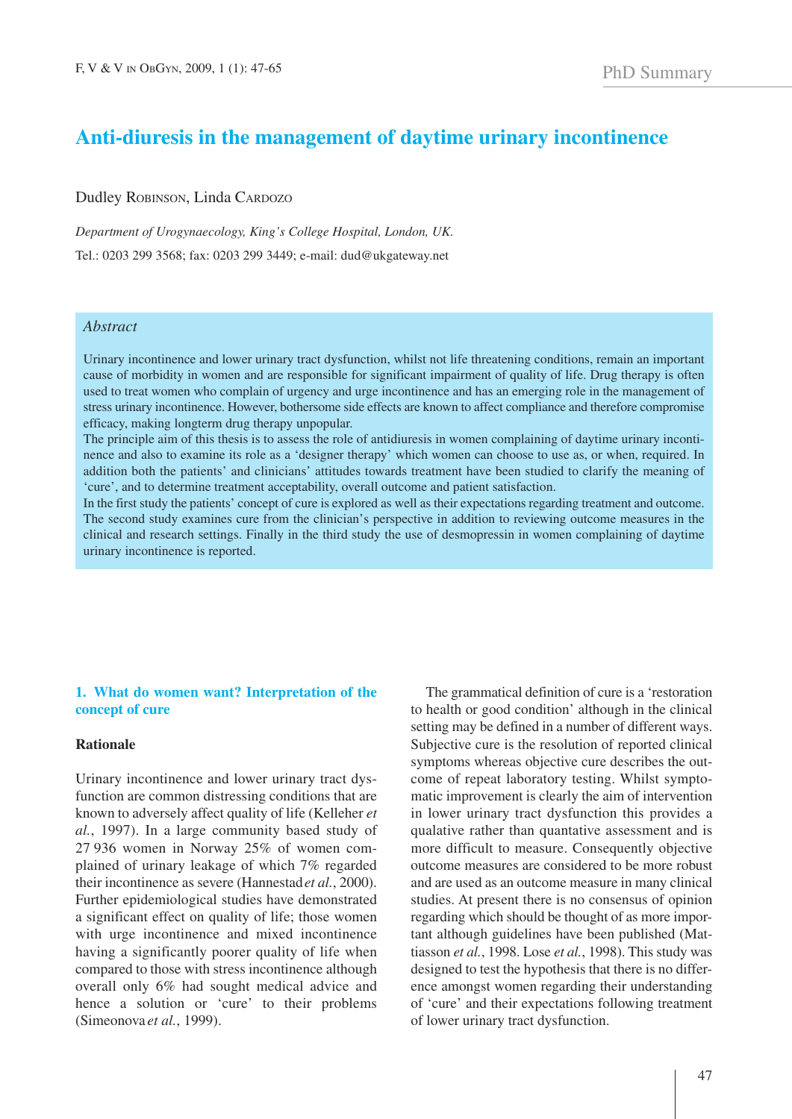# **Anti-diuresis in the management of daytime urinary incontinence**

Dudley ROBINSON, Linda CARDOZO

*Department of Urogynaecology, King's College Hospital, London, UK.* Tel.: 0203 299 3568; fax: 0203 299 3449; e-mail: dud@ukgateway.net

# *Abstract*

Urinary incontinence and lower urinary tract dysfunction, whilst not life threatening conditions, remain an important cause of morbidity in women and are responsible for significant impairment of quality of life. Drug therapy is often used to treat women who complain of urgency and urge incontinence and has an emerging role in the management of stress urinary incontinence. However, bothersome side effects are known to affect compliance and therefore compromise efficacy, making longterm drug therapy unpopular.

The principle aim of this thesis is to assess the role of antidiuresis in women complaining of daytime urinary incontinence and also to examine its role as a 'designer therapy' which women can choose to use as, or when, required. In addition both the patients' and clinicians' attitudes towards treatment have been studied to clarify the meaning of 'cure', and to determine treatment acceptability, overall outcome and patient satisfaction.

In the first study the patients' concept of cure is explored as well as their expectations regarding treatment and outcome. The second study examines cure from the clinician's perspective in addition to reviewing outcome measures in the clinical and research settings. Finally in the third study the use of desmopressin in women complaining of daytime urinary incontinence is reported.

### **1. What do women want? Interpretation of the concept of cure**

#### **Rationale**

Urinary incontinence and lower urinary tract dysfunction are common distressing conditions that are known to adversely affect quality of life (Kelleher *et al.*, 1997). In a large community based study of 27 936 women in Norway 25% of women complained of urinary leakage of which 7% regarded their incontinence as severe (Hannestad*et al.*, 2000). Further epidemiological studies have demonstrated a significant effect on quality of life; those women with urge incontinence and mixed incontinence having a significantly poorer quality of life when compared to those with stress incontinence although overall only 6% had sought medical advice and hence a solution or 'cure' to their problems (Simeonova *et al.*, 1999).

The grammatical definition of cure is a 'restoration to health or good condition' although in the clinical setting may be defined in a number of different ways. Subjective cure is the resolution of reported clinical symptoms whereas objective cure describes the outcome of repeat laboratory testing. Whilst symptomatic improvement is clearly the aim of intervention in lower urinary tract dysfunction this provides a qualative rather than quantative assessment and is more difficult to measure. Consequently objective outcome measures are considered to be more robust and are used as an outcome measure in many clinical studies. At present there is no consensus of opinion regarding which should be thought of as more important although guidelines have been published (Mattiasson *et al.*, 1998. Lose *et al.*, 1998). This study was designed to test the hypothesis that there is no difference amongst women regarding their understanding of 'cure' and their expectations following treatment of lower urinary tract dysfunction.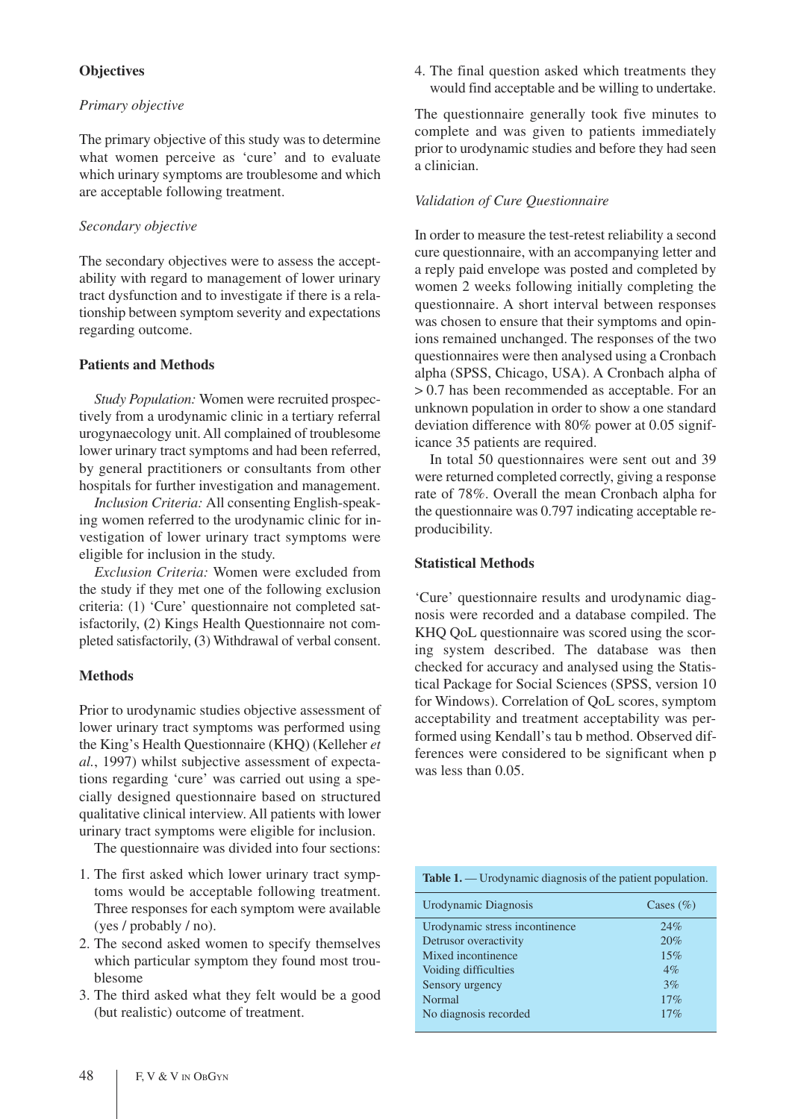# **Objectives**

### *Primary objective*

The primary objective of this study was to determine what women perceive as 'cure' and to evaluate which urinary symptoms are troublesome and which are acceptable following treatment.

### *Secondary objective*

The secondary objectives were to assess the acceptability with regard to management of lower urinary tract dysfunction and to investigate if there is a relationship between symptom severity and expectations regarding outcome.

### **Patients and Methods**

*Study Population:* Women were recruited prospectively from a urodynamic clinic in a tertiary referral urogynaecology unit. All complained of troublesome lower urinary tract symptoms and had been referred, by general practitioners or consultants from other hospitals for further investigation and management.

*Inclusion Criteria:* All consenting English-speaking women referred to the urodynamic clinic for investigation of lower urinary tract symptoms were eligible for inclusion in the study.

*Exclusion Criteria:* Women were excluded from the study if they met one of the following exclusion criteria: (1) 'Cure' questionnaire not completed satisfactorily, **(**2) Kings Health Questionnaire not completed satisfactorily, **(**3) Withdrawal of verbal consent.

### **Methods**

Prior to urodynamic studies objective assessment of lower urinary tract symptoms was performed using the King's Health Questionnaire (KHQ) (Kelleher *et al.*, 1997) whilst subjective assessment of expectations regarding 'cure' was carried out using a specially designed questionnaire based on structured qualitative clinical interview. All patients with lower urinary tract symptoms were eligible for inclusion.

The questionnaire was divided into four sections:

- 1. The first asked which lower urinary tract symptoms would be acceptable following treatment. Three responses for each symptom were available (yes / probably / no).
- 2. The second asked women to specify themselves which particular symptom they found most troublesome
- 3. The third asked what they felt would be a good (but realistic) outcome of treatment.

4. The final question asked which treatments they would find acceptable and be willing to undertake.

The questionnaire generally took five minutes to complete and was given to patients immediately prior to urodynamic studies and before they had seen a clinician.

### *Validation of Cure Questionnaire*

In order to measure the test-retest reliability a second cure questionnaire, with an accompanying letter and a reply paid envelope was posted and completed by women 2 weeks following initially completing the questionnaire. A short interval between responses was chosen to ensure that their symptoms and opinions remained unchanged. The responses of the two questionnaires were then analysed using a Cronbach alpha (SPSS, Chicago, USA). A Cronbach alpha of > 0.7 has been recommended as acceptable. For an unknown population in order to show a one standard deviation difference with 80% power at 0.05 significance 35 patients are required.

In total 50 questionnaires were sent out and 39 were returned completed correctly, giving a response rate of 78%. Overall the mean Cronbach alpha for the questionnaire was 0.797 indicating acceptable reproducibility.

### **Statistical Methods**

'Cure' questionnaire results and urodynamic diagnosis were recorded and a database compiled. The KHQ QoL questionnaire was scored using the scoring system described. The database was then checked for accuracy and analysed using the Statistical Package for Social Sciences (SPSS, version 10 for Windows). Correlation of QoL scores, symptom acceptability and treatment acceptability was performed using Kendall's tau b method. Observed differences were considered to be significant when p was less than 0.05

| Table 1. — Urodynamic diagnosis of the patient population. |               |  |  |
|------------------------------------------------------------|---------------|--|--|
| Urodynamic Diagnosis                                       | Cases $(\% )$ |  |  |
| Urodynamic stress incontinence                             | 24%           |  |  |
| Detrusor overactivity                                      | 20%           |  |  |
| Mixed incontinence                                         | 15%           |  |  |
| Voiding difficulties                                       | $4\%$         |  |  |
| Sensory urgency                                            | 3%            |  |  |
| Normal                                                     | 17%           |  |  |
| No diagnosis recorded                                      | 17%           |  |  |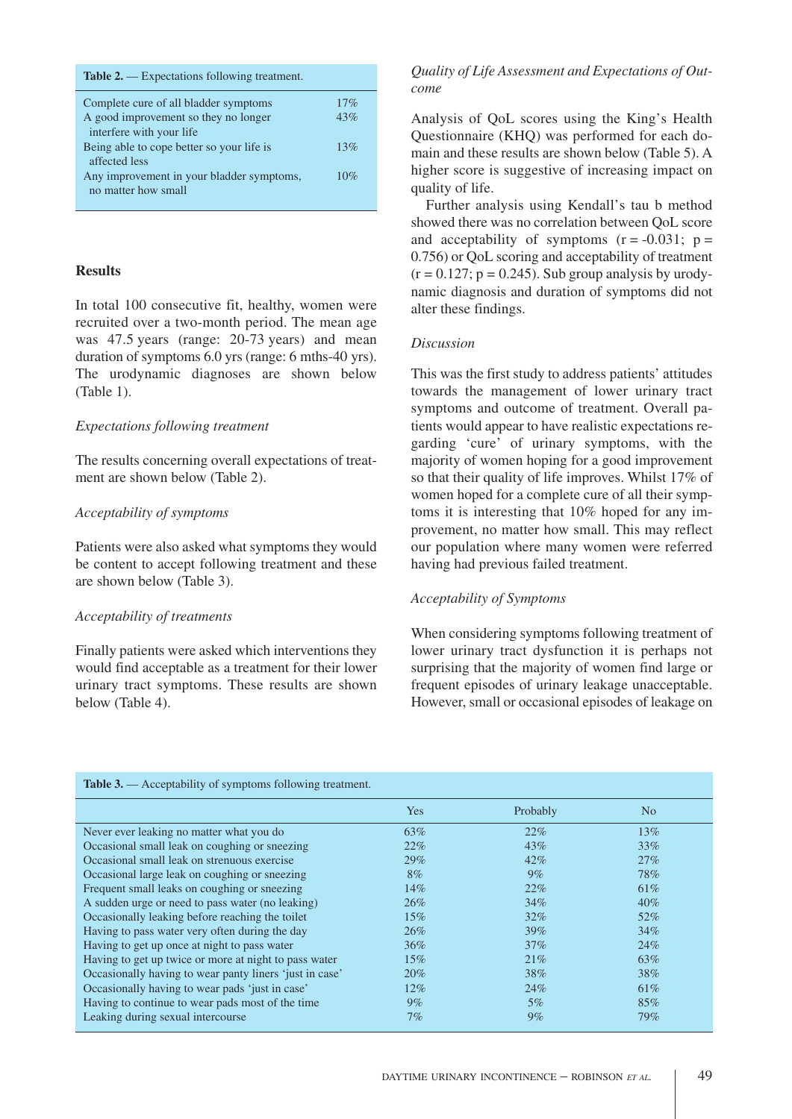| <b>Table 2.</b> $\equiv$ Expectations following treatment. |     |
|------------------------------------------------------------|-----|
| Complete cure of all bladder symptoms                      | 17% |
| A good improvement so they no longer                       | 43% |
| interfere with your life                                   |     |
| Being able to cope better so your life is                  | 13% |
| affected less                                              |     |
| Any improvement in your bladder symptoms,                  | 10% |
| no matter how small                                        |     |

### **Results**

In total 100 consecutive fit, healthy, women were recruited over a two-month period. The mean age was 47.5 years (range: 20-73 years) and mean duration of symptoms 6.0 yrs (range: 6 mths-40 yrs). The urodynamic diagnoses are shown below (Table 1).

#### *Expectations following treatment*

The results concerning overall expectations of treatment are shown below (Table 2).

### *Acceptability of symptoms*

Patients were also asked what symptoms they would be content to accept following treatment and these are shown below (Table 3).

#### *Acceptability of treatments*

Finally patients were asked which interventions they would find acceptable as a treatment for their lower urinary tract symptoms. These results are shown below (Table 4).

### *Quality of Life Assessment and Expectations of Outcome*

Analysis of QoL scores using the King's Health Questionnaire (KHQ) was performed for each domain and these results are shown below (Table 5). A higher score is suggestive of increasing impact on quality of life.

Further analysis using Kendall's tau b method showed there was no correlation between QoL score and acceptability of symptoms  $(r = -0.031; p =$ 0.756) or QoL scoring and acceptability of treatment  $(r = 0.127; p = 0.245)$ . Sub group analysis by urodynamic diagnosis and duration of symptoms did not alter these findings.

#### *Discussion*

This was the first study to address patients' attitudes towards the management of lower urinary tract symptoms and outcome of treatment. Overall patients would appear to have realistic expectations regarding 'cure' of urinary symptoms, with the majority of women hoping for a good improvement so that their quality of life improves. Whilst 17% of women hoped for a complete cure of all their symptoms it is interesting that 10% hoped for any improvement, no matter how small. This may reflect our population where many women were referred having had previous failed treatment.

#### *Acceptability of Symptoms*

When considering symptoms following treatment of lower urinary tract dysfunction it is perhaps not surprising that the majority of women find large or frequent episodes of urinary leakage unacceptable. However, small or occasional episodes of leakage on

| <b>rable <math>\sigma</math>.</b> $\rightarrow$ Acceptability of symptoms following treatment. |            |                 |        |  |
|------------------------------------------------------------------------------------------------|------------|-----------------|--------|--|
|                                                                                                | <b>Yes</b> | <b>Probably</b> | No.    |  |
| Never ever leaking no matter what you do                                                       | 63%        | $22\%$          | 13%    |  |
| Occasional small leak on coughing or sneezing                                                  | $22\%$     | $43\%$          | 33%    |  |
| Occasional small leak on strenuous exercise                                                    | $29\%$     | 42%             | 27%    |  |
| Occasional large leak on coughing or sneezing                                                  | $8\%$      | $9\%$           | 78%    |  |
| Frequent small leaks on coughing or sneezing                                                   | 14%        | $22\%$          | 61%    |  |
| A sudden urge or need to pass water (no leaking)                                               | 26%        | $34\%$          | $40\%$ |  |
| Occasionally leaking before reaching the toilet                                                | $15\%$     | $32\%$          | 52%    |  |
| Having to pass water very often during the day                                                 | 26%        | $39\%$          | $34\%$ |  |
| Having to get up once at night to pass water                                                   | $36\%$     | $37\%$          | 24%    |  |
| Having to get up twice or more at night to pass water                                          | 15%        | 21%             | 63%    |  |
| Occasionally having to wear panty liners 'just in case'                                        | $20\%$     | 38%             | 38%    |  |
| Occasionally having to wear pads 'just in case'                                                | $12\%$     | 24%             | 61\%   |  |
| Having to continue to wear pads most of the time                                               | $9\%$      | $5\%$           | 85%    |  |
| Leaking during sexual intercourse                                                              | $7\%$      | $9\%$           | 79%    |  |

# **Table 3.** — Acceptability of symptoms following treatment.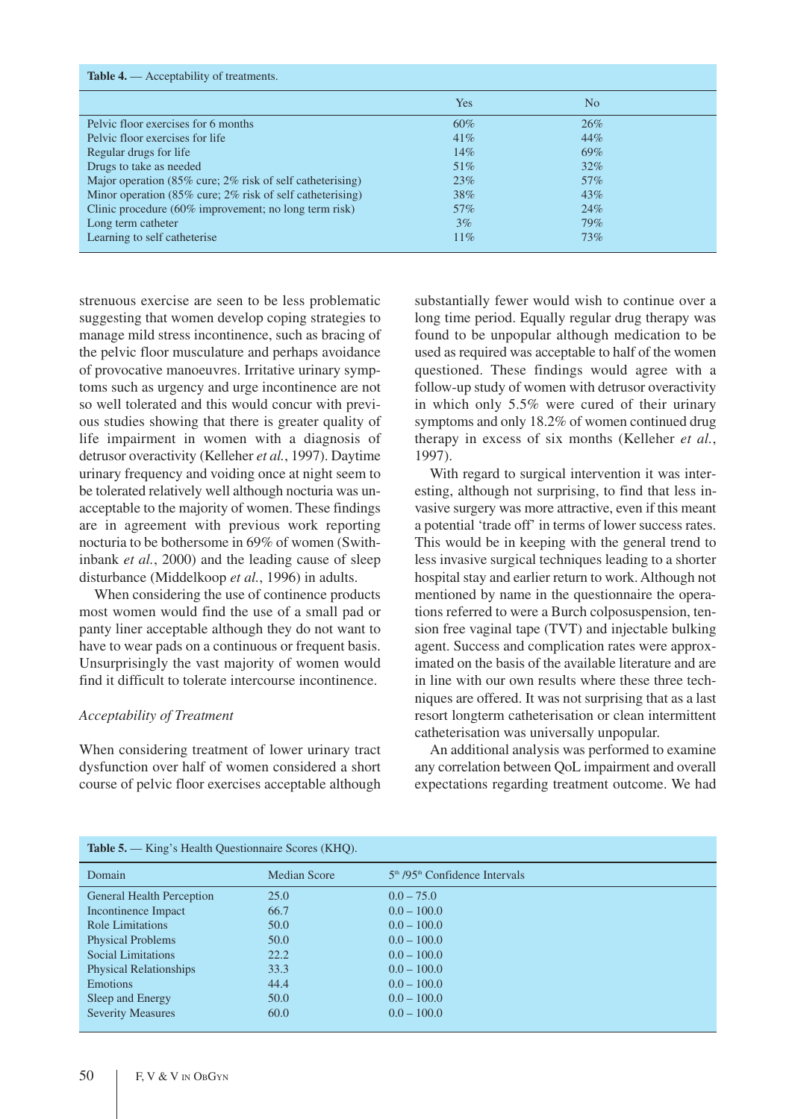| <b>Table 4.</b> $\rightarrow$ Acceptability of treatments.      |            |                |  |
|-----------------------------------------------------------------|------------|----------------|--|
|                                                                 | <b>Yes</b> | N <sub>0</sub> |  |
| Pelvic floor exercises for 6 months                             | 60%        | 26%            |  |
| Pelvic floor exercises for life                                 | 41%        | 44%            |  |
| Regular drugs for life                                          | 14%        | 69%            |  |
| Drugs to take as needed                                         | $51\%$     | $32\%$         |  |
| Major operation $(85\%$ cure; $2\%$ risk of self catheterising) | 23%        | $57\%$         |  |
| Minor operation (85% cure; $2\%$ risk of self catheterising)    | 38%        | 43%            |  |
| Clinic procedure $(60\%$ improvement; no long term risk)        | 57%        | 24%            |  |
| Long term catheter                                              | $3\%$      | 79%            |  |
| Learning to self catheterise                                    | 11%        | 73%            |  |

strenuous exercise are seen to be less problematic suggesting that women develop coping strategies to manage mild stress incontinence, such as bracing of the pelvic floor musculature and perhaps avoidance of provocative manoeuvres. Irritative urinary symptoms such as urgency and urge incontinence are not so well tolerated and this would concur with previous studies showing that there is greater quality of life impairment in women with a diagnosis of detrusor overactivity (Kelleher *et al.*, 1997). Daytime urinary frequency and voiding once at night seem to be tolerated relatively well although nocturia was unacceptable to the majority of women. These findings are in agreement with previous work reporting nocturia to be bothersome in 69% of women (Swithinbank *et al.*, 2000) and the leading cause of sleep disturbance (Middelkoop *et al.*, 1996) in adults.

When considering the use of continence products most women would find the use of a small pad or panty liner acceptable although they do not want to have to wear pads on a continuous or frequent basis. Unsurprisingly the vast majority of women would find it difficult to tolerate intercourse incontinence.

#### *Acceptability of Treatment*

When considering treatment of lower urinary tract dysfunction over half of women considered a short course of pelvic floor exercises acceptable although substantially fewer would wish to continue over a long time period. Equally regular drug therapy was found to be unpopular although medication to be used as required was acceptable to half of the women questioned. These findings would agree with a follow-up study of women with detrusor overactivity in which only 5.5% were cured of their urinary symptoms and only 18.2% of women continued drug therapy in excess of six months (Kelleher *et al.*, 1997).

With regard to surgical intervention it was interesting, although not surprising, to find that less invasive surgery was more attractive, even if this meant a potential 'trade off' in terms of lower success rates. This would be in keeping with the general trend to less invasive surgical techniques leading to a shorter hospital stay and earlier return to work. Although not mentioned by name in the questionnaire the operations referred to were a Burch colposuspension, tension free vaginal tape (TVT) and injectable bulking agent. Success and complication rates were approximated on the basis of the available literature and are in line with our own results where these three techniques are offered. It was not surprising that as a last resort longterm catheterisation or clean intermittent catheterisation was universally unpopular.

An additional analysis was performed to examine any correlation between QoL impairment and overall expectations regarding treatment outcome. We had

| <b>Table 5.</b> — King's Health Questionnaire Scores (KHQ). |              |                                              |  |
|-------------------------------------------------------------|--------------|----------------------------------------------|--|
| Domain                                                      | Median Score | $5th$ /95 <sup>th</sup> Confidence Intervals |  |
| <b>General Health Perception</b>                            | 25.0         | $0.0 - 75.0$                                 |  |
| Incontinence Impact                                         | 66.7         | $0.0 - 100.0$                                |  |
| Role Limitations                                            | 50.0         | $0.0 - 100.0$                                |  |
| <b>Physical Problems</b>                                    | 50.0         | $0.0 - 100.0$                                |  |
| <b>Social Limitations</b>                                   | 22.2         | $0.0 - 100.0$                                |  |
| <b>Physical Relationships</b>                               | 33.3         | $0.0 - 100.0$                                |  |
| <b>Emotions</b>                                             | 44.4         | $0.0 - 100.0$                                |  |
| Sleep and Energy                                            | 50.0         | $0.0 - 100.0$                                |  |
| <b>Severity Measures</b>                                    | 60.0         | $0.0 - 100.0$                                |  |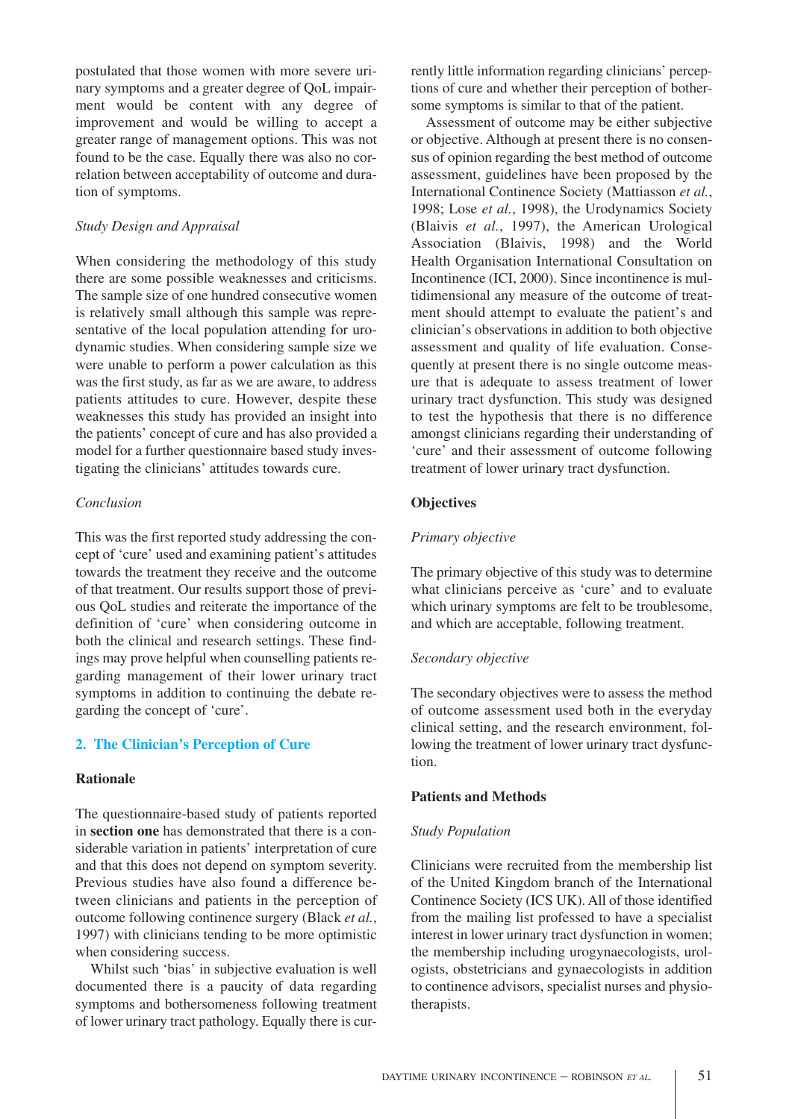postulated that those women with more severe urinary symptoms and a greater degree of QoL impairment would be content with any degree of improvement and would be willing to accept a greater range of management options. This was not found to be the case. Equally there was also no correlation between acceptability of outcome and duration of symptoms.

### *Study Design and Appraisal*

When considering the methodology of this study there are some possible weaknesses and criticisms. The sample size of one hundred consecutive women is relatively small although this sample was representative of the local population attending for urodynamic studies. When considering sample size we were unable to perform a power calculation as this was the first study, as far as we are aware, to address patients attitudes to cure. However, despite these weaknesses this study has provided an insight into the patients' concept of cure and has also provided a model for a further questionnaire based study investigating the clinicians' attitudes towards cure.

#### *Conclusion*

This was the first reported study addressing the concept of 'cure' used and examining patient's attitudes towards the treatment they receive and the outcome of that treatment. Our results support those of previous QoL studies and reiterate the importance of the definition of 'cure' when considering outcome in both the clinical and research settings. These findings may prove helpful when counselling patients regarding management of their lower urinary tract symptoms in addition to continuing the debate regarding the concept of 'cure'.

#### **2. The Clinician's Perception of Cure**

#### **Rationale**

The questionnaire-based study of patients reported in **section one** has demonstrated that there is a considerable variation in patients' interpretation of cure and that this does not depend on symptom severity. Previous studies have also found a difference between clinicians and patients in the perception of outcome following continence surgery (Black *et al.*, 1997) with clinicians tending to be more optimistic when considering success.

Whilst such 'bias' in subjective evaluation is well documented there is a paucity of data regarding symptoms and bothersomeness following treatment of lower urinary tract pathology. Equally there is currently little information regarding clinicians' perceptions of cure and whether their perception of bothersome symptoms is similar to that of the patient.

Assessment of outcome may be either subjective or objective. Although at present there is no consensus of opinion regarding the best method of outcome assessment, guidelines have been proposed by the International Continence Society (Mattiasson *et al.*, 1998; Lose *et al.*, 1998), the Urodynamics Society (Blaivis *et al.*, 1997), the American Urological Association (Blaivis, 1998) and the World Health Organisation International Consultation on Incontinence (ICI, 2000). Since incontinence is multidimensional any measure of the outcome of treatment should attempt to evaluate the patient's and clinician's observations in addition to both objective assessment and quality of life evaluation. Consequently at present there is no single outcome measure that is adequate to assess treatment of lower urinary tract dysfunction. This study was designed to test the hypothesis that there is no difference amongst clinicians regarding their understanding of 'cure' and their assessment of outcome following treatment of lower urinary tract dysfunction.

#### **Objectives**

#### *Primary objective*

The primary objective of this study was to determine what clinicians perceive as 'cure' and to evaluate which urinary symptoms are felt to be troublesome, and which are acceptable, following treatment.

#### *Secondary objective*

The secondary objectives were to assess the method of outcome assessment used both in the everyday clinical setting, and the research environment, following the treatment of lower urinary tract dysfunction.

### **Patients and Methods**

#### *Study Population*

Clinicians were recruited from the membership list of the United Kingdom branch of the International Continence Society (ICS UK). All of those identified from the mailing list professed to have a specialist interest in lower urinary tract dysfunction in women; the membership including urogynaecologists, urologists, obstetricians and gynaecologists in addition to continence advisors, specialist nurses and physiotherapists.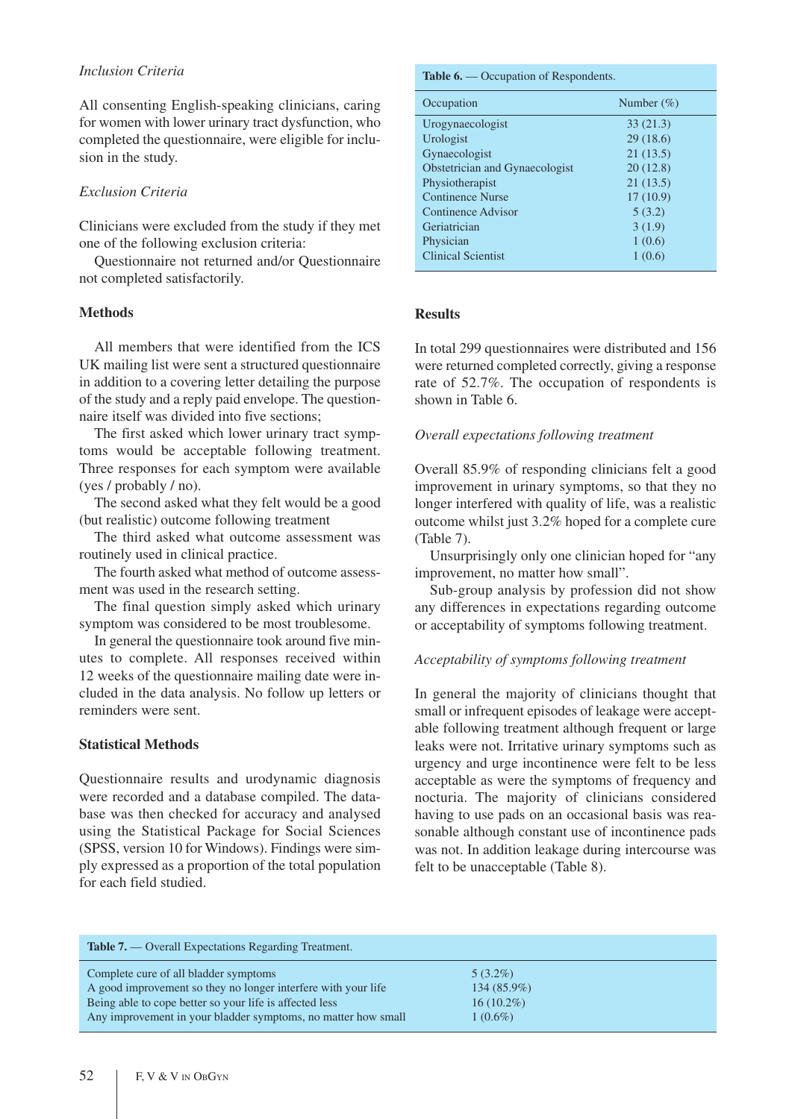### *Inclusion Criteria*

All consenting English-speaking clinicians, caring for women with lower urinary tract dysfunction, who completed the questionnaire, were eligible for inclusion in the study.

### *Exclusion Criteria*

Clinicians were excluded from the study if they met one of the following exclusion criteria:

Questionnaire not returned and/or Questionnaire not completed satisfactorily.

### **Methods**

All members that were identified from the ICS UK mailing list were sent a structured questionnaire in addition to a covering letter detailing the purpose of the study and a reply paid envelope. The questionnaire itself was divided into five sections;

The first asked which lower urinary tract symptoms would be acceptable following treatment. Three responses for each symptom were available (yes / probably / no).

The second asked what they felt would be a good (but realistic) outcome following treatment

The third asked what outcome assessment was routinely used in clinical practice.

The fourth asked what method of outcome assessment was used in the research setting.

The final question simply asked which urinary symptom was considered to be most troublesome.

In general the questionnaire took around five minutes to complete. All responses received within 12 weeks of the questionnaire mailing date were included in the data analysis. No follow up letters or reminders were sent.

### **Statistical Methods**

Questionnaire results and urodynamic diagnosis were recorded and a database compiled. The database was then checked for accuracy and analysed using the Statistical Package for Social Sciences (SPSS, version 10 for Windows). Findings were simply expressed as a proportion of the total population for each field studied.

### **Table 6.** — Occupation of Respondents.

| Occupation                     | Number $(\%)$ |
|--------------------------------|---------------|
| Urogynaecologist               | 33(21.3)      |
| Urologist                      | 29(18.6)      |
| Gynaecologist                  | 21(13.5)      |
| Obstetrician and Gynaecologist | 20(12.8)      |
| Physiotherapist                | 21(13.5)      |
| <b>Continence Nurse</b>        | 17(10.9)      |
| Continence Advisor             | 5(3.2)        |
| Geriatrician                   | 3(1.9)        |
| Physician                      | 1(0.6)        |
| <b>Clinical Scientist</b>      | 1(0.6)        |
|                                |               |

# **Results**

In total 299 questionnaires were distributed and 156 were returned completed correctly, giving a response rate of 52.7%. The occupation of respondents is shown in Table 6.

### *Overall expectations following treatment*

Overall 85.9% of responding clinicians felt a good improvement in urinary symptoms, so that they no longer interfered with quality of life, was a realistic outcome whilst just 3.2% hoped for a complete cure (Table 7).

Unsurprisingly only one clinician hoped for "any improvement, no matter how small".

Sub-group analysis by profession did not show any differences in expectations regarding outcome or acceptability of symptoms following treatment.

### *Acceptability of symptoms following treatment*

In general the majority of clinicians thought that small or infrequent episodes of leakage were acceptable following treatment although frequent or large leaks were not. Irritative urinary symptoms such as urgency and urge incontinence were felt to be less acceptable as were the symptoms of frequency and nocturia. The majority of clinicians considered having to use pads on an occasional basis was reasonable although constant use of incontinence pads was not. In addition leakage during intercourse was felt to be unacceptable (Table 8).

| <b>Table 7.</b> — Overall Expectations Regarding Treatment.   |              |  |
|---------------------------------------------------------------|--------------|--|
| Complete cure of all bladder symptoms                         | $5(3.2\%)$   |  |
| A good improvement so they no longer interfere with your life | 134 (85.9%)  |  |
| Being able to cope better so your life is affected less       | $16(10.2\%)$ |  |
| Any improvement in your bladder symptoms, no matter how small | $1(0.6\%)$   |  |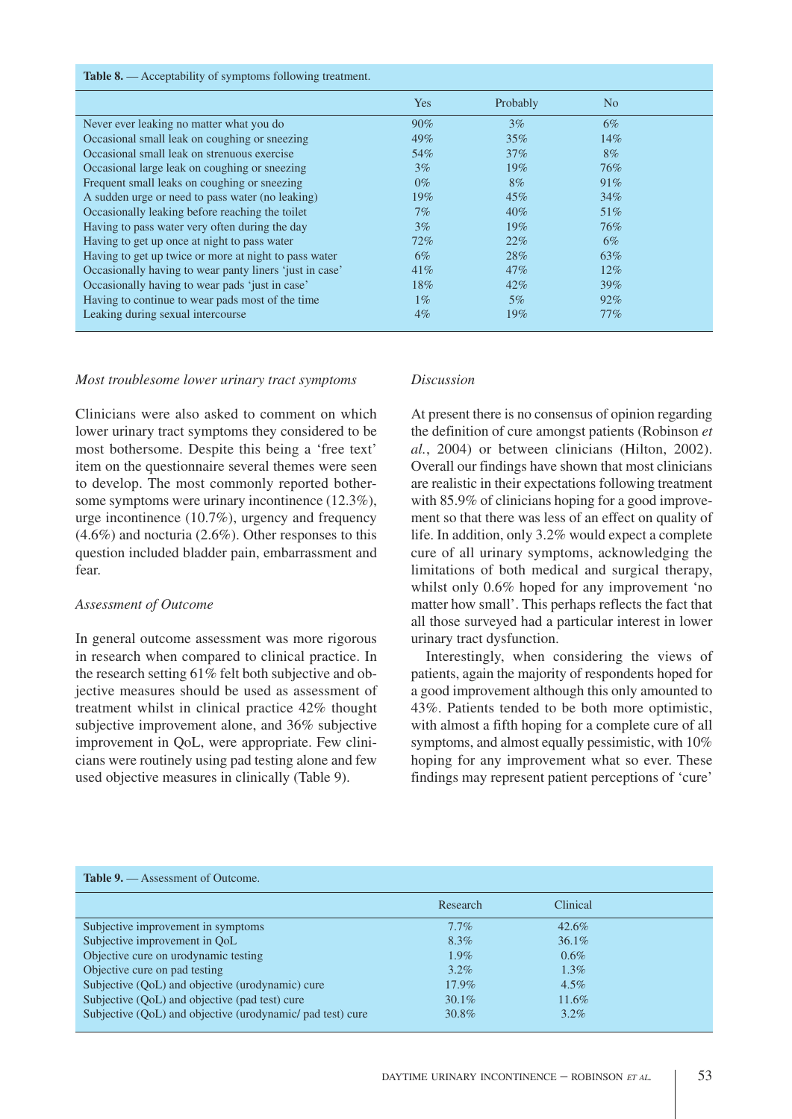#### **Table 8.** — Acceptability of symptoms following treatment.

|                                                         | Yes    | Probably | N <sub>o</sub> |  |
|---------------------------------------------------------|--------|----------|----------------|--|
| Never ever leaking no matter what you do                | 90%    | $3\%$    | $6\%$          |  |
| Occasional small leak on coughing or sneezing           | 49%    | 35%      | 14%            |  |
| Occasional small leak on strenuous exercise             | 54%    | $37\%$   | $8\%$          |  |
| Occasional large leak on coughing or sneezing           | $3\%$  | $19\%$   | 76%            |  |
| Frequent small leaks on coughing or sneezing            | $0\%$  | $8\%$    | 91%            |  |
| A sudden urge or need to pass water (no leaking)        | 19%    | 45%      | $34\%$         |  |
| Occasionally leaking before reaching the toilet         | $7\%$  | 40%      | 51\%           |  |
| Having to pass water very often during the day          | $3\%$  | $19\%$   | 76%            |  |
| Having to get up once at night to pass water            | 72%    | 22%      | 6%             |  |
| Having to get up twice or more at night to pass water   | 6%     | 28%      | 63%            |  |
| Occasionally having to wear panty liners 'just in case' | $41\%$ | 47%      | $12\%$         |  |
| Occasionally having to wear pads 'just in case'         | 18%    | $42\%$   | $39\%$         |  |
| Having to continue to wear pads most of the time        | $1\%$  | $5\%$    | $92\%$         |  |
| Leaking during sexual intercourse                       | $4\%$  | $19\%$   | $77\%$         |  |

#### *Most troublesome lower urinary tract symptoms*

Clinicians were also asked to comment on which lower urinary tract symptoms they considered to be most bothersome. Despite this being a 'free text' item on the questionnaire several themes were seen to develop. The most commonly reported bothersome symptoms were urinary incontinence (12.3%), urge incontinence (10.7%), urgency and frequency (4.6%) and nocturia (2.6%). Other responses to this question included bladder pain, embarrassment and fear.

#### *Assessment of Outcome*

In general outcome assessment was more rigorous in research when compared to clinical practice. In the research setting 61% felt both subjective and objective measures should be used as assessment of treatment whilst in clinical practice 42% thought subjective improvement alone, and 36% subjective improvement in QoL, were appropriate. Few clinicians were routinely using pad testing alone and few used objective measures in clinically (Table 9).

#### *Discussion*

At present there is no consensus of opinion regarding the definition of cure amongst patients (Robinson *et al.*, 2004) or between clinicians (Hilton, 2002). Overall our findings have shown that most clinicians are realistic in their expectations following treatment with 85.9% of clinicians hoping for a good improvement so that there was less of an effect on quality of life. In addition, only 3.2% would expect a complete cure of all urinary symptoms, acknowledging the limitations of both medical and surgical therapy, whilst only 0.6% hoped for any improvement 'no matter how small'. This perhaps reflects the fact that all those surveyed had a particular interest in lower urinary tract dysfunction.

Interestingly, when considering the views of patients, again the majority of respondents hoped for a good improvement although this only amounted to 43%. Patients tended to be both more optimistic, with almost a fifth hoping for a complete cure of all symptoms, and almost equally pessimistic, with 10% hoping for any improvement what so ever. These findings may represent patient perceptions of 'cure'

# **Table 9.** — Assessment of Outcome. Research Clinical Subjective improvement in symptoms 7.7% 42.6% Subjective improvement in QoL 8.3% 36.1% Objective cure on urodynamic testing  $0.6\%$ Objective cure on pad testing  $3.2\%$  1.3% 1.3% Subjective (OoL) and objective (urodynamic) cure 17.9% 17.9% 4.5% Subjective (OoL) and objective (pad test) cure 30.1% 11.6% Subjective (QoL) and objective (urodynamic/ pad test) cure 30.8% 3.2%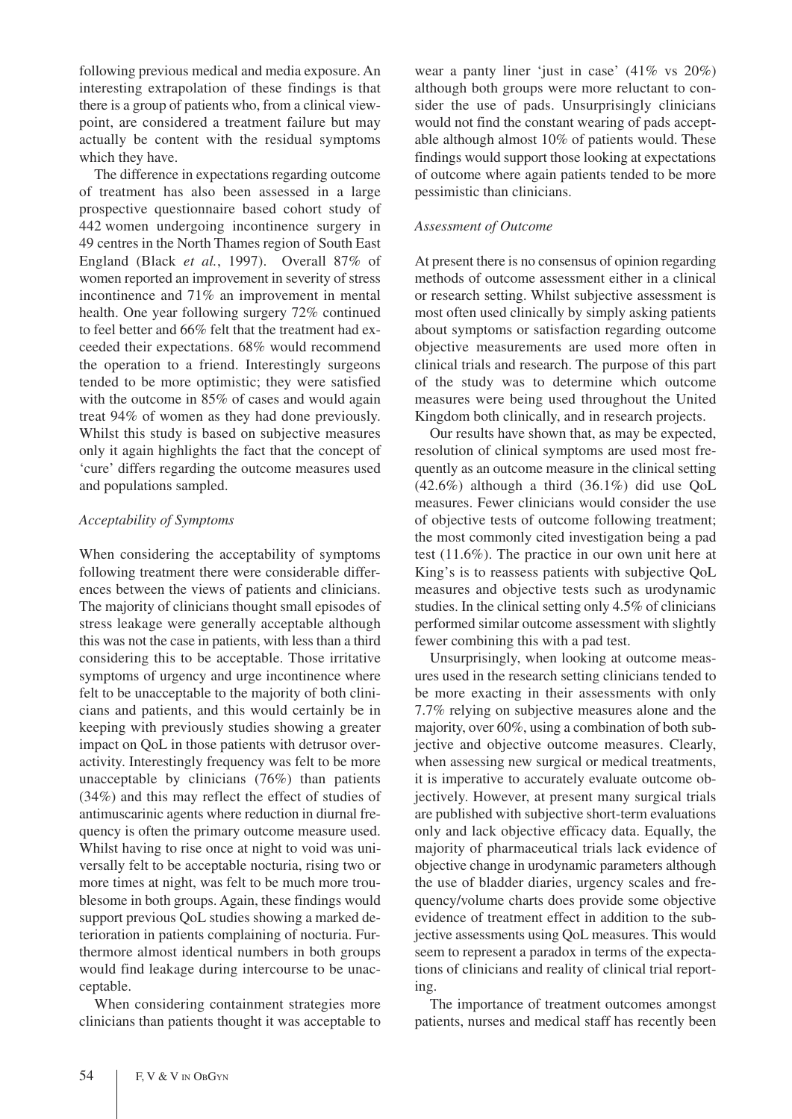following previous medical and media exposure. An interesting extrapolation of these findings is that there is a group of patients who, from a clinical viewpoint, are considered a treatment failure but may actually be content with the residual symptoms which they have.

The difference in expectations regarding outcome of treatment has also been assessed in a large prospective questionnaire based cohort study of 442 women undergoing incontinence surgery in 49 centres in the North Thames region of South East England (Black *et al.*, 1997). Overall 87% of women reported an improvement in severity of stress incontinence and 71% an improvement in mental health. One year following surgery 72% continued to feel better and 66% felt that the treatment had exceeded their expectations. 68% would recommend the operation to a friend. Interestingly surgeons tended to be more optimistic; they were satisfied with the outcome in 85% of cases and would again treat 94% of women as they had done previously. Whilst this study is based on subjective measures only it again highlights the fact that the concept of 'cure' differs regarding the outcome measures used and populations sampled.

### *Acceptability of Symptoms*

When considering the acceptability of symptoms following treatment there were considerable differences between the views of patients and clinicians. The majority of clinicians thought small episodes of stress leakage were generally acceptable although this was not the case in patients, with less than a third considering this to be acceptable. Those irritative symptoms of urgency and urge incontinence where felt to be unacceptable to the majority of both clinicians and patients, and this would certainly be in keeping with previously studies showing a greater impact on QoL in those patients with detrusor overactivity. Interestingly frequency was felt to be more unacceptable by clinicians (76%) than patients (34%) and this may reflect the effect of studies of antimuscarinic agents where reduction in diurnal frequency is often the primary outcome measure used. Whilst having to rise once at night to void was universally felt to be acceptable nocturia, rising two or more times at night, was felt to be much more troublesome in both groups. Again, these findings would support previous QoL studies showing a marked deterioration in patients complaining of nocturia. Furthermore almost identical numbers in both groups would find leakage during intercourse to be unacceptable.

When considering containment strategies more clinicians than patients thought it was acceptable to wear a panty liner 'just in case' (41% vs 20%) although both groups were more reluctant to consider the use of pads. Unsurprisingly clinicians would not find the constant wearing of pads acceptable although almost 10% of patients would. These findings would support those looking at expectations of outcome where again patients tended to be more pessimistic than clinicians.

#### *Assessment of Outcome*

At present there is no consensus of opinion regarding methods of outcome assessment either in a clinical or research setting. Whilst subjective assessment is most often used clinically by simply asking patients about symptoms or satisfaction regarding outcome objective measurements are used more often in clinical trials and research. The purpose of this part of the study was to determine which outcome measures were being used throughout the United Kingdom both clinically, and in research projects.

Our results have shown that, as may be expected, resolution of clinical symptoms are used most frequently as an outcome measure in the clinical setting (42.6%) although a third (36.1%) did use QoL measures. Fewer clinicians would consider the use of objective tests of outcome following treatment; the most commonly cited investigation being a pad test (11.6%). The practice in our own unit here at King's is to reassess patients with subjective QoL measures and objective tests such as urodynamic studies. In the clinical setting only 4.5% of clinicians performed similar outcome assessment with slightly fewer combining this with a pad test.

Unsurprisingly, when looking at outcome measures used in the research setting clinicians tended to be more exacting in their assessments with only 7.7% relying on subjective measures alone and the majority, over 60%, using a combination of both subjective and objective outcome measures. Clearly, when assessing new surgical or medical treatments, it is imperative to accurately evaluate outcome objectively. However, at present many surgical trials are published with subjective short-term evaluations only and lack objective efficacy data. Equally, the majority of pharmaceutical trials lack evidence of objective change in urodynamic parameters although the use of bladder diaries, urgency scales and frequency/volume charts does provide some objective evidence of treatment effect in addition to the subjective assessments using QoL measures. This would seem to represent a paradox in terms of the expectations of clinicians and reality of clinical trial reporting.

The importance of treatment outcomes amongst patients, nurses and medical staff has recently been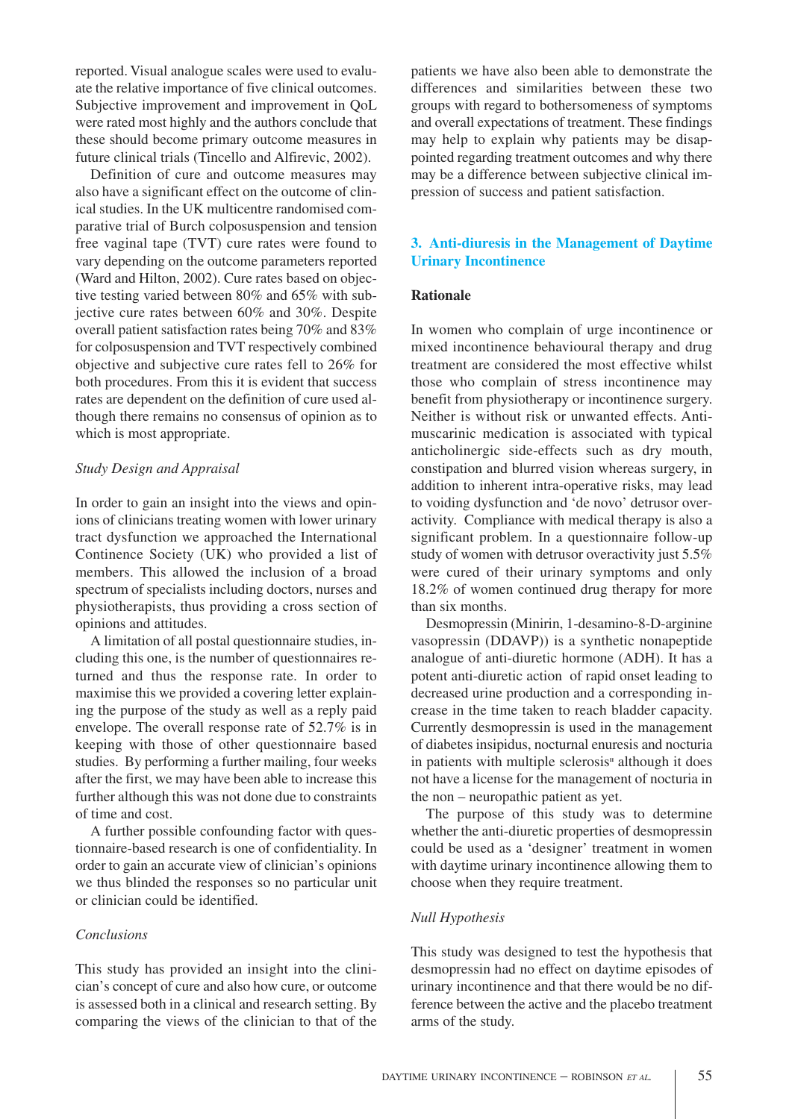reported. Visual analogue scales were used to evaluate the relative importance of five clinical outcomes. Subjective improvement and improvement in QoL were rated most highly and the authors conclude that these should become primary outcome measures in future clinical trials (Tincello and Alfirevic, 2002).

Definition of cure and outcome measures may also have a significant effect on the outcome of clinical studies. In the UK multicentre randomised comparative trial of Burch colposuspension and tension free vaginal tape (TVT) cure rates were found to vary depending on the outcome parameters reported (Ward and Hilton, 2002). Cure rates based on objective testing varied between 80% and 65% with subjective cure rates between 60% and 30%. Despite overall patient satisfaction rates being 70% and 83% for colposuspension and TVT respectively combined objective and subjective cure rates fell to 26% for both procedures. From this it is evident that success rates are dependent on the definition of cure used although there remains no consensus of opinion as to which is most appropriate.

### *Study Design and Appraisal*

In order to gain an insight into the views and opinions of clinicians treating women with lower urinary tract dysfunction we approached the International Continence Society (UK) who provided a list of members. This allowed the inclusion of a broad spectrum of specialists including doctors, nurses and physiotherapists, thus providing a cross section of opinions and attitudes.

A limitation of all postal questionnaire studies, including this one, is the number of questionnaires returned and thus the response rate. In order to maximise this we provided a covering letter explaining the purpose of the study as well as a reply paid envelope. The overall response rate of 52.7% is in keeping with those of other questionnaire based studies. By performing a further mailing, four weeks after the first, we may have been able to increase this further although this was not done due to constraints of time and cost.

A further possible confounding factor with questionnaire-based research is one of confidentiality. In order to gain an accurate view of clinician's opinions we thus blinded the responses so no particular unit or clinician could be identified.

#### *Conclusions*

This study has provided an insight into the clinician's concept of cure and also how cure, or outcome is assessed both in a clinical and research setting. By comparing the views of the clinician to that of the

patients we have also been able to demonstrate the differences and similarities between these two groups with regard to bothersomeness of symptoms and overall expectations of treatment. These findings may help to explain why patients may be disappointed regarding treatment outcomes and why there may be a difference between subjective clinical impression of success and patient satisfaction.

# **3. Anti-diuresis in the Management of Daytime Urinary Incontinence**

#### **Rationale**

In women who complain of urge incontinence or mixed incontinence behavioural therapy and drug treatment are considered the most effective whilst those who complain of stress incontinence may benefit from physiotherapy or incontinence surgery. Neither is without risk or unwanted effects. Antimuscarinic medication is associated with typical anticholinergic side-effects such as dry mouth, constipation and blurred vision whereas surgery, in addition to inherent intra-operative risks, may lead to voiding dysfunction and 'de novo' detrusor overactivity. Compliance with medical therapy is also a significant problem. In a questionnaire follow-up study of women with detrusor overactivity just 5.5% were cured of their urinary symptoms and only 18.2% of women continued drug therapy for more than six months.

Desmopressin (Minirin, 1-desamino-8-D-arginine vasopressin (DDAVP)) is a synthetic nonapeptide analogue of anti-diuretic hormone (ADH). It has a potent anti-diuretic action of rapid onset leading to decreased urine production and a corresponding increase in the time taken to reach bladder capacity. Currently desmopressin is used in the management of diabetes insipidus, nocturnal enuresis and nocturia in patients with multiple sclerosis<sup>"</sup> although it does not have a license for the management of nocturia in the non – neuropathic patient as yet.

The purpose of this study was to determine whether the anti-diuretic properties of desmopressin could be used as a 'designer' treatment in women with daytime urinary incontinence allowing them to choose when they require treatment.

#### *Null Hypothesis*

This study was designed to test the hypothesis that desmopressin had no effect on daytime episodes of urinary incontinence and that there would be no difference between the active and the placebo treatment arms of the study.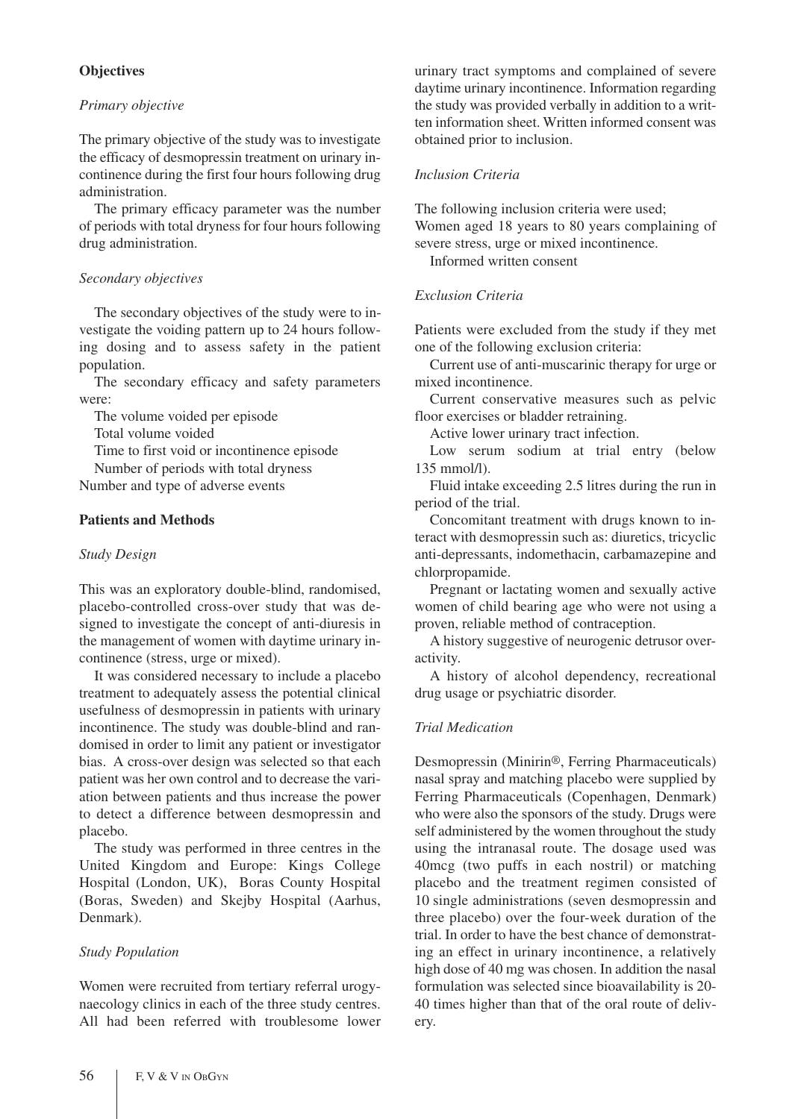# **Objectives**

### *Primary objective*

The primary objective of the study was to investigate the efficacy of desmopressin treatment on urinary incontinence during the first four hours following drug administration.

The primary efficacy parameter was the number of periods with total dryness for four hours following drug administration.

### *Secondary objectives*

The secondary objectives of the study were to investigate the voiding pattern up to 24 hours following dosing and to assess safety in the patient population.

The secondary efficacy and safety parameters were:

The volume voided per episode

Total volume voided

Time to first void or incontinence episode

Number of periods with total dryness Number and type of adverse events

### **Patients and Methods**

#### *Study Design*

This was an exploratory double-blind, randomised, placebo-controlled cross-over study that was designed to investigate the concept of anti-diuresis in the management of women with daytime urinary incontinence (stress, urge or mixed).

It was considered necessary to include a placebo treatment to adequately assess the potential clinical usefulness of desmopressin in patients with urinary incontinence. The study was double-blind and randomised in order to limit any patient or investigator bias. A cross-over design was selected so that each patient was her own control and to decrease the variation between patients and thus increase the power to detect a difference between desmopressin and placebo.

The study was performed in three centres in the United Kingdom and Europe: Kings College Hospital (London, UK), Boras County Hospital (Boras, Sweden) and Skejby Hospital (Aarhus, Denmark).

### *Study Population*

Women were recruited from tertiary referral urogynaecology clinics in each of the three study centres. All had been referred with troublesome lower urinary tract symptoms and complained of severe daytime urinary incontinence. Information regarding the study was provided verbally in addition to a written information sheet. Written informed consent was obtained prior to inclusion.

#### *Inclusion Criteria*

The following inclusion criteria were used; Women aged 18 years to 80 years complaining of severe stress, urge or mixed incontinence.

Informed written consent

### *Exclusion Criteria*

Patients were excluded from the study if they met one of the following exclusion criteria:

Current use of anti-muscarinic therapy for urge or mixed incontinence.

Current conservative measures such as pelvic floor exercises or bladder retraining.

Active lower urinary tract infection.

Low serum sodium at trial entry (below 135 mmol/l).

Fluid intake exceeding 2.5 litres during the run in period of the trial.

Concomitant treatment with drugs known to interact with desmopressin such as: diuretics, tricyclic anti-depressants, indomethacin, carbamazepine and chlorpropamide.

Pregnant or lactating women and sexually active women of child bearing age who were not using a proven, reliable method of contraception.

A history suggestive of neurogenic detrusor overactivity.

A history of alcohol dependency, recreational drug usage or psychiatric disorder.

### *Trial Medication*

Desmopressin (Minirin®, Ferring Pharmaceuticals) nasal spray and matching placebo were supplied by Ferring Pharmaceuticals (Copenhagen, Denmark) who were also the sponsors of the study. Drugs were self administered by the women throughout the study using the intranasal route. The dosage used was 40mcg (two puffs in each nostril) or matching placebo and the treatment regimen consisted of 10 single administrations (seven desmopressin and three placebo) over the four-week duration of the trial. In order to have the best chance of demonstrating an effect in urinary incontinence, a relatively high dose of 40 mg was chosen. In addition the nasal formulation was selected since bioavailability is 20- 40 times higher than that of the oral route of delivery.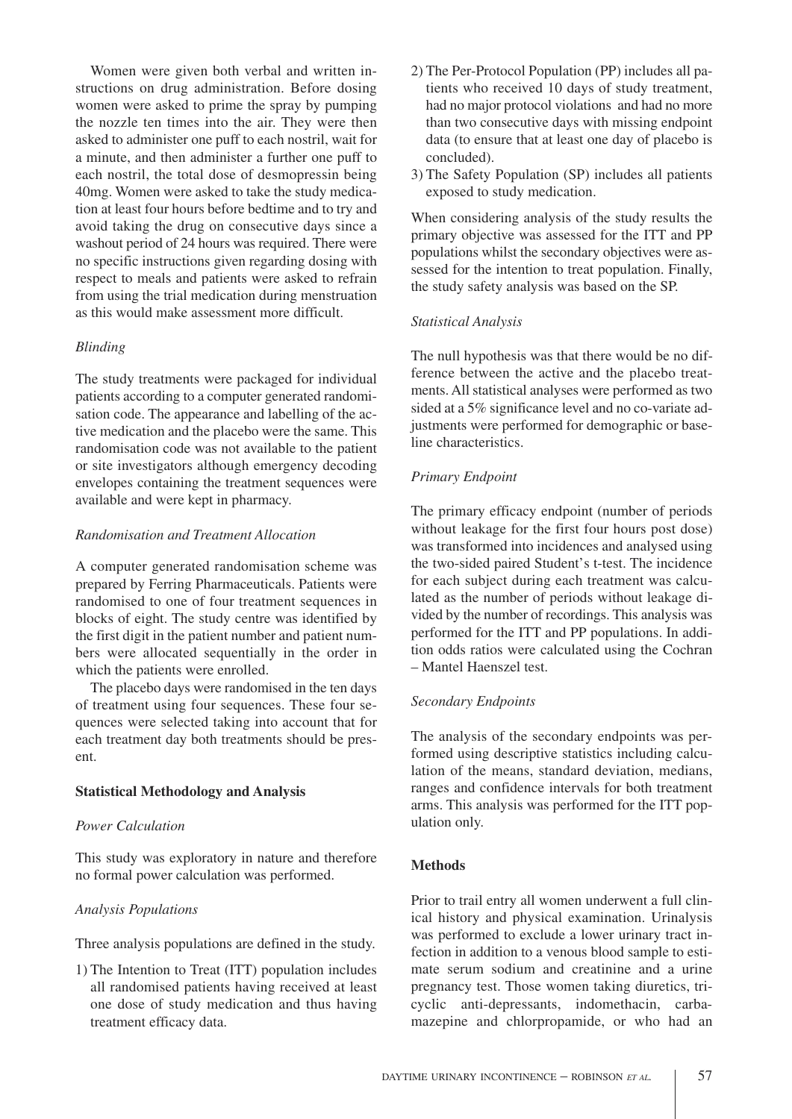Women were given both verbal and written instructions on drug administration. Before dosing women were asked to prime the spray by pumping the nozzle ten times into the air. They were then asked to administer one puff to each nostril, wait for a minute, and then administer a further one puff to each nostril, the total dose of desmopressin being 40mg. Women were asked to take the study medication at least four hours before bedtime and to try and avoid taking the drug on consecutive days since a washout period of 24 hours was required. There were no specific instructions given regarding dosing with respect to meals and patients were asked to refrain from using the trial medication during menstruation as this would make assessment more difficult.

# *Blinding*

The study treatments were packaged for individual patients according to a computer generated randomisation code. The appearance and labelling of the active medication and the placebo were the same. This randomisation code was not available to the patient or site investigators although emergency decoding envelopes containing the treatment sequences were available and were kept in pharmacy.

# *Randomisation and Treatment Allocation*

A computer generated randomisation scheme was prepared by Ferring Pharmaceuticals. Patients were randomised to one of four treatment sequences in blocks of eight. The study centre was identified by the first digit in the patient number and patient numbers were allocated sequentially in the order in which the patients were enrolled.

The placebo days were randomised in the ten days of treatment using four sequences. These four sequences were selected taking into account that for each treatment day both treatments should be present.

### **Statistical Methodology and Analysis**

### *Power Calculation*

This study was exploratory in nature and therefore no formal power calculation was performed.

# *Analysis Populations*

Three analysis populations are defined in the study.

1) The Intention to Treat (ITT) population includes all randomised patients having received at least one dose of study medication and thus having treatment efficacy data.

- 2) The Per-Protocol Population (PP) includes all patients who received 10 days of study treatment, had no major protocol violations and had no more than two consecutive days with missing endpoint data (to ensure that at least one day of placebo is concluded).
- 3) The Safety Population (SP) includes all patients exposed to study medication.

When considering analysis of the study results the primary objective was assessed for the ITT and PP populations whilst the secondary objectives were assessed for the intention to treat population. Finally, the study safety analysis was based on the SP.

# *Statistical Analysis*

The null hypothesis was that there would be no difference between the active and the placebo treatments. All statistical analyses were performed as two sided at a 5% significance level and no co-variate adjustments were performed for demographic or baseline characteristics.

# *Primary Endpoint*

The primary efficacy endpoint (number of periods without leakage for the first four hours post dose) was transformed into incidences and analysed using the two-sided paired Student's t-test. The incidence for each subject during each treatment was calculated as the number of periods without leakage divided by the number of recordings. This analysis was performed for the ITT and PP populations. In addition odds ratios were calculated using the Cochran – Mantel Haenszel test.

### *Secondary Endpoints*

The analysis of the secondary endpoints was performed using descriptive statistics including calculation of the means, standard deviation, medians, ranges and confidence intervals for both treatment arms. This analysis was performed for the ITT population only.

### **Methods**

Prior to trail entry all women underwent a full clinical history and physical examination. Urinalysis was performed to exclude a lower urinary tract infection in addition to a venous blood sample to estimate serum sodium and creatinine and a urine pregnancy test. Those women taking diuretics, tricyclic anti-depressants, indomethacin, carbamazepine and chlorpropamide, or who had an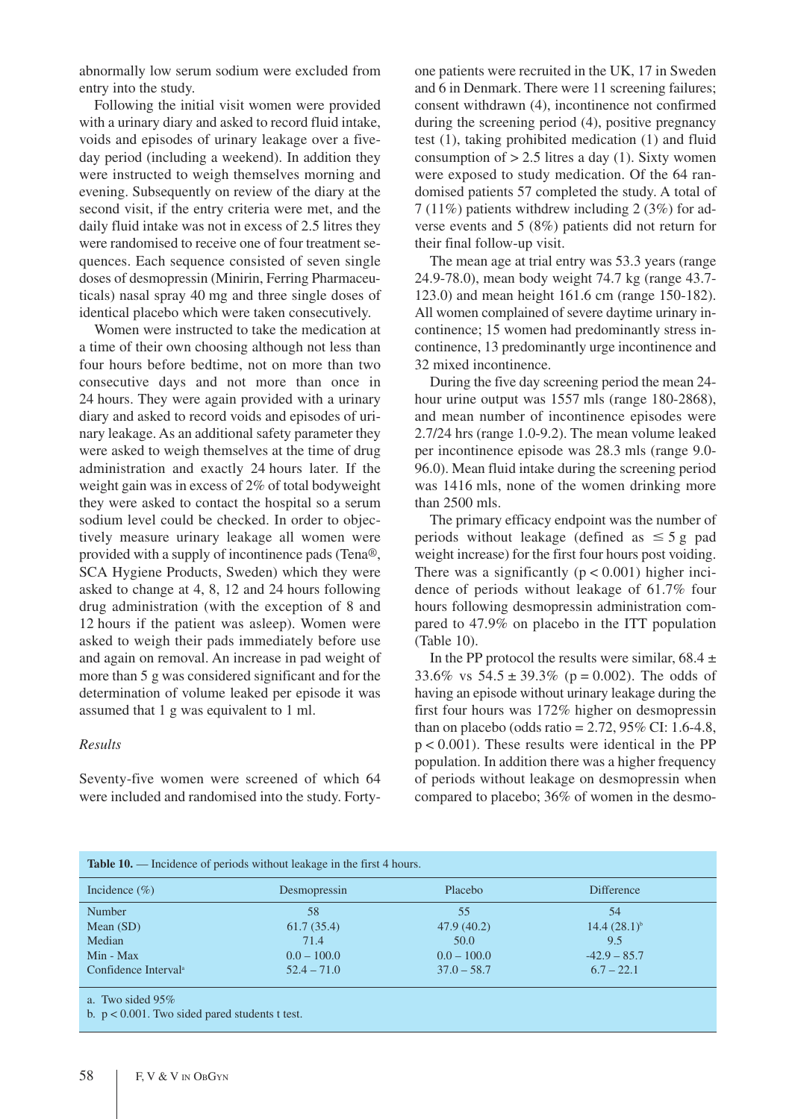abnormally low serum sodium were excluded from entry into the study.

Following the initial visit women were provided with a urinary diary and asked to record fluid intake, voids and episodes of urinary leakage over a fiveday period (including a weekend). In addition they were instructed to weigh themselves morning and evening. Subsequently on review of the diary at the second visit, if the entry criteria were met, and the daily fluid intake was not in excess of 2.5 litres they were randomised to receive one of four treatment sequences. Each sequence consisted of seven single doses of desmopressin (Minirin, Ferring Pharmaceuticals) nasal spray 40 mg and three single doses of identical placebo which were taken consecutively.

Women were instructed to take the medication at a time of their own choosing although not less than four hours before bedtime, not on more than two consecutive days and not more than once in 24 hours. They were again provided with a urinary diary and asked to record voids and episodes of urinary leakage. As an additional safety parameter they were asked to weigh themselves at the time of drug administration and exactly 24 hours later. If the weight gain was in excess of 2% of total bodyweight they were asked to contact the hospital so a serum sodium level could be checked. In order to objectively measure urinary leakage all women were provided with a supply of incontinence pads (Tena®, SCA Hygiene Products, Sweden) which they were asked to change at 4, 8, 12 and 24 hours following drug administration (with the exception of 8 and 12 hours if the patient was asleep). Women were asked to weigh their pads immediately before use and again on removal. An increase in pad weight of more than 5 g was considered significant and for the determination of volume leaked per episode it was assumed that 1 g was equivalent to 1 ml.

#### *Results*

Seventy-five women were screened of which 64 were included and randomised into the study. Fortyone patients were recruited in the UK, 17 in Sweden and 6 in Denmark. There were 11 screening failures; consent withdrawn (4), incontinence not confirmed during the screening period (4), positive pregnancy test (1), taking prohibited medication (1) and fluid consumption of  $> 2.5$  litres a day (1). Sixty women were exposed to study medication. Of the 64 randomised patients 57 completed the study. A total of 7 (11%) patients withdrew including 2 (3%) for adverse events and 5 (8%) patients did not return for their final follow-up visit.

The mean age at trial entry was 53.3 years (range 24.9-78.0), mean body weight 74.7 kg (range 43.7- 123.0) and mean height 161.6 cm (range 150-182). All women complained of severe daytime urinary incontinence; 15 women had predominantly stress incontinence, 13 predominantly urge incontinence and 32 mixed incontinence.

During the five day screening period the mean 24 hour urine output was 1557 mls (range 180-2868), and mean number of incontinence episodes were 2.7/24 hrs (range 1.0-9.2). The mean volume leaked per incontinence episode was 28.3 mls (range 9.0- 96.0). Mean fluid intake during the screening period was 1416 mls, none of the women drinking more than 2500 mls.

The primary efficacy endpoint was the number of periods without leakage (defined as  $\leq$  5 g pad weight increase) for the first four hours post voiding. There was a significantly  $(p < 0.001)$  higher incidence of periods without leakage of 61.7% four hours following desmopressin administration compared to 47.9% on placebo in the ITT population (Table 10).

In the PP protocol the results were similar,  $68.4 \pm$ 33.6% vs  $54.5 \pm 39.3\%$  (p = 0.002). The odds of having an episode without urinary leakage during the first four hours was 172% higher on desmopressin than on placebo (odds ratio =  $2.72$ ,  $95\%$  CI: 1.6-4.8, p < 0.001). These results were identical in the PP population. In addition there was a higher frequency of periods without leakage on desmopressin when compared to placebo; 36% of women in the desmo-

| Table 10. — Incidence of periods without leakage in the first 4 hours. |               |               |                   |  |  |
|------------------------------------------------------------------------|---------------|---------------|-------------------|--|--|
| Incidence $(\% )$                                                      | Desmopressin  | Placebo       | <b>Difference</b> |  |  |
| Number                                                                 | .58           | 55            | 54                |  |  |
| Mean $(SD)$                                                            | 61.7(35.4)    | 47.9(40.2)    | $14.4(28.1)^{b}$  |  |  |
| Median                                                                 | 71.4          | 50.0          | 9.5               |  |  |
| $Min - Max$                                                            | $0.0 - 100.0$ | $0.0 - 100.0$ | $-42.9 - 85.7$    |  |  |
| Confidence Interval <sup>a</sup>                                       | $52.4 - 71.0$ | $37.0 - 58.7$ | $6.7 - 22.1$      |  |  |
| a. Two sided $95\%$                                                    |               |               |                   |  |  |

b.  $p < 0.001$ . Two sided pared students t test.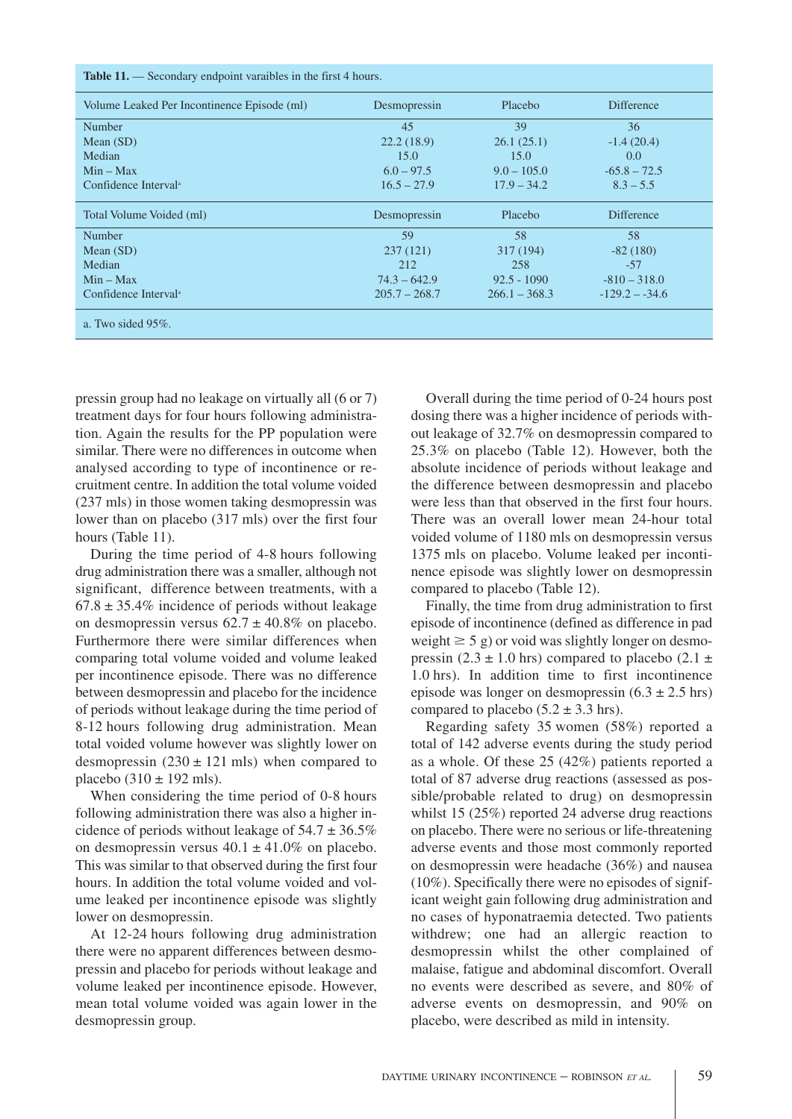| <b>Table 11.</b> — Secondary endpoint varaibles in the first 4 hours. |                 |                 |                   |  |
|-----------------------------------------------------------------------|-----------------|-----------------|-------------------|--|
| Volume Leaked Per Incontinence Episode (ml)                           | Desmopressin    | Placebo         | <b>Difference</b> |  |
| <b>Number</b>                                                         | 45              | 39              | 36                |  |
| Mean $(SD)$                                                           | 22.2(18.9)      | 26.1(25.1)      | $-1.4(20.4)$      |  |
| Median                                                                | 15.0            | 15.0            | 0.0 <sub>1</sub>  |  |
| $Min - Max$                                                           | $6.0 - 97.5$    | $9.0 - 105.0$   | $-65.8 - 72.5$    |  |
| Confidence Interval <sup>a</sup>                                      | $16.5 - 27.9$   | $17.9 - 34.2$   | $8.3 - 5.5$       |  |
| Total Volume Voided (ml)                                              | Desmopressin    | Placebo         | <b>Difference</b> |  |
| Number                                                                | 59              | 58              | 58                |  |
| Mean $(SD)$                                                           | 237(121)        | 317 (194)       | $-82(180)$        |  |
| Median                                                                | 212             | 258             | $-57$             |  |
| $Min - Max$                                                           | $74.3 - 642.9$  | $92.5 - 1090$   | $-810 - 318.0$    |  |
| Confidence Interval <sup>a</sup>                                      | $205.7 - 268.7$ | $266.1 - 368.3$ | $-129.2 - -34.6$  |  |
| a. Two sided $95\%$ .                                                 |                 |                 |                   |  |

pressin group had no leakage on virtually all (6 or 7) treatment days for four hours following administration. Again the results for the PP population were similar. There were no differences in outcome when analysed according to type of incontinence or recruitment centre. In addition the total volume voided (237 mls) in those women taking desmopressin was lower than on placebo (317 mls) over the first four hours (Table 11).

During the time period of 4-8 hours following drug administration there was a smaller, although not significant, difference between treatments, with a  $67.8 \pm 35.4\%$  incidence of periods without leakage on desmopressin versus  $62.7 \pm 40.8\%$  on placebo. Furthermore there were similar differences when comparing total volume voided and volume leaked per incontinence episode. There was no difference between desmopressin and placebo for the incidence of periods without leakage during the time period of 8-12 hours following drug administration. Mean total voided volume however was slightly lower on desmopressin  $(230 \pm 121 \text{ m/s})$  when compared to placebo  $(310 \pm 192 \text{ mls})$ .

When considering the time period of 0-8 hours following administration there was also a higher incidence of periods without leakage of  $54.7 \pm 36.5\%$ on desmopressin versus  $40.1 \pm 41.0\%$  on placebo. This was similar to that observed during the first four hours. In addition the total volume voided and volume leaked per incontinence episode was slightly lower on desmopressin.

At 12-24 hours following drug administration there were no apparent differences between desmopressin and placebo for periods without leakage and volume leaked per incontinence episode. However, mean total volume voided was again lower in the desmopressin group.

Overall during the time period of 0-24 hours post dosing there was a higher incidence of periods without leakage of 32.7% on desmopressin compared to 25.3% on placebo (Table 12). However, both the absolute incidence of periods without leakage and the difference between desmopressin and placebo were less than that observed in the first four hours. There was an overall lower mean 24-hour total voided volume of 1180 mls on desmopressin versus 1375 mls on placebo. Volume leaked per incontinence episode was slightly lower on desmopressin compared to placebo (Table 12).

Finally, the time from drug administration to first episode of incontinence (defined as difference in pad weight  $\geq 5$  g) or void was slightly longer on desmopressin (2.3  $\pm$  1.0 hrs) compared to placebo (2.1  $\pm$ 1.0 hrs). In addition time to first incontinence episode was longer on desmopressin  $(6.3 \pm 2.5 \text{ hrs})$ compared to placebo  $(5.2 \pm 3.3 \text{ hrs})$ .

Regarding safety 35 women (58%) reported a total of 142 adverse events during the study period as a whole. Of these 25 (42%) patients reported a total of 87 adverse drug reactions (assessed as possible/probable related to drug) on desmopressin whilst 15 (25%) reported 24 adverse drug reactions on placebo. There were no serious or life-threatening adverse events and those most commonly reported on desmopressin were headache (36%) and nausea (10%). Specifically there were no episodes of significant weight gain following drug administration and no cases of hyponatraemia detected. Two patients withdrew; one had an allergic reaction to desmopressin whilst the other complained of malaise, fatigue and abdominal discomfort. Overall no events were described as severe, and 80% of adverse events on desmopressin, and 90% on placebo, were described as mild in intensity.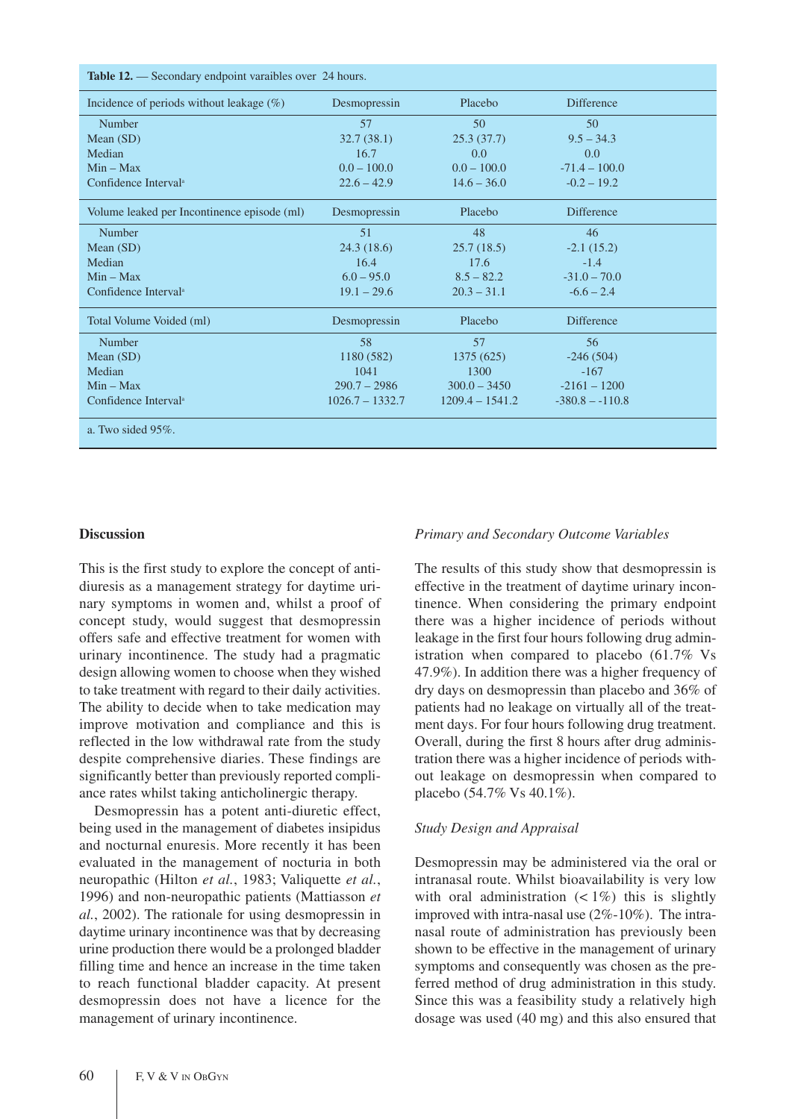| Table 12. - Secondary endpoint varaibles over 24 hours. |                   |                   |                   |  |  |
|---------------------------------------------------------|-------------------|-------------------|-------------------|--|--|
| Incidence of periods without leakage $(\%)$             | Desmopressin      | Placebo           | <b>Difference</b> |  |  |
| Number                                                  | .57               | 50                | 50                |  |  |
| Mean $(SD)$                                             | 32.7(38.1)        | 25.3(37.7)        | $9.5 - 34.3$      |  |  |
| Median                                                  | 16.7              | 0.0               | 0.0               |  |  |
| $Min - Max$                                             | $0.0 - 100.0$     | $0.0 - 100.0$     | $-71.4 - 100.0$   |  |  |
| Confidence Interval <sup>a</sup>                        | $22.6 - 42.9$     | $14.6 - 36.0$     | $-0.2 - 19.2$     |  |  |
| Volume leaked per Incontinence episode (ml)             | Desmopressin      | Placebo           | <b>Difference</b> |  |  |
| Number                                                  | 51                | 48                | 46                |  |  |
| Mean $(SD)$                                             | 24.3(18.6)        | 25.7(18.5)        | $-2.1(15.2)$      |  |  |
| Median                                                  | 16.4              | 17.6              | $-1.4$            |  |  |
| $Min - Max$                                             | $6.0 - 95.0$      | $8.5 - 82.2$      | $-31.0 - 70.0$    |  |  |
| Confidence Interval <sup>a</sup>                        | $19.1 - 29.6$     | $20.3 - 31.1$     | $-6.6 - 2.4$      |  |  |
| Total Volume Voided (ml)                                | Desmopressin      | Placebo           | <b>Difference</b> |  |  |
| Number                                                  | 58                | 57                | 56                |  |  |
| Mean $(SD)$                                             | 1180 (582)        | 1375(625)         | $-246(504)$       |  |  |
| Median                                                  | 1041              | 1300              | $-167$            |  |  |
| $Min - Max$                                             | $290.7 - 2986$    | $300.0 - 3450$    | $-2161 - 1200$    |  |  |
| Confidence Interval <sup>a</sup>                        | $1026.7 - 1332.7$ | $1209.4 - 1541.2$ | $-380.8 - 110.8$  |  |  |
| a. Two sided $95\%$ .                                   |                   |                   |                   |  |  |

### **Discussion**

This is the first study to explore the concept of antidiuresis as a management strategy for daytime urinary symptoms in women and, whilst a proof of concept study, would suggest that desmopressin offers safe and effective treatment for women with urinary incontinence. The study had a pragmatic design allowing women to choose when they wished to take treatment with regard to their daily activities. The ability to decide when to take medication may improve motivation and compliance and this is reflected in the low withdrawal rate from the study despite comprehensive diaries. These findings are significantly better than previously reported compliance rates whilst taking anticholinergic therapy.

Desmopressin has a potent anti-diuretic effect, being used in the management of diabetes insipidus and nocturnal enuresis. More recently it has been evaluated in the management of nocturia in both neuropathic (Hilton *et al.*, 1983; Valiquette *et al.*, 1996) and non-neuropathic patients (Mattiasson *et al.*, 2002). The rationale for using desmopressin in daytime urinary incontinence was that by decreasing urine production there would be a prolonged bladder filling time and hence an increase in the time taken to reach functional bladder capacity. At present desmopressin does not have a licence for the management of urinary incontinence.

### *Primary and Secondary Outcome Variables*

The results of this study show that desmopressin is effective in the treatment of daytime urinary incontinence. When considering the primary endpoint there was a higher incidence of periods without leakage in the first four hours following drug administration when compared to placebo (61.7% Vs 47.9%). In addition there was a higher frequency of dry days on desmopressin than placebo and 36% of patients had no leakage on virtually all of the treatment days. For four hours following drug treatment. Overall, during the first 8 hours after drug administration there was a higher incidence of periods without leakage on desmopressin when compared to placebo (54.7% Vs 40.1%).

#### *Study Design and Appraisal*

Desmopressin may be administered via the oral or intranasal route. Whilst bioavailability is very low with oral administration  $\left($  < 1%) this is slightly improved with intra-nasal use (2%-10%). The intranasal route of administration has previously been shown to be effective in the management of urinary symptoms and consequently was chosen as the preferred method of drug administration in this study. Since this was a feasibility study a relatively high dosage was used (40 mg) and this also ensured that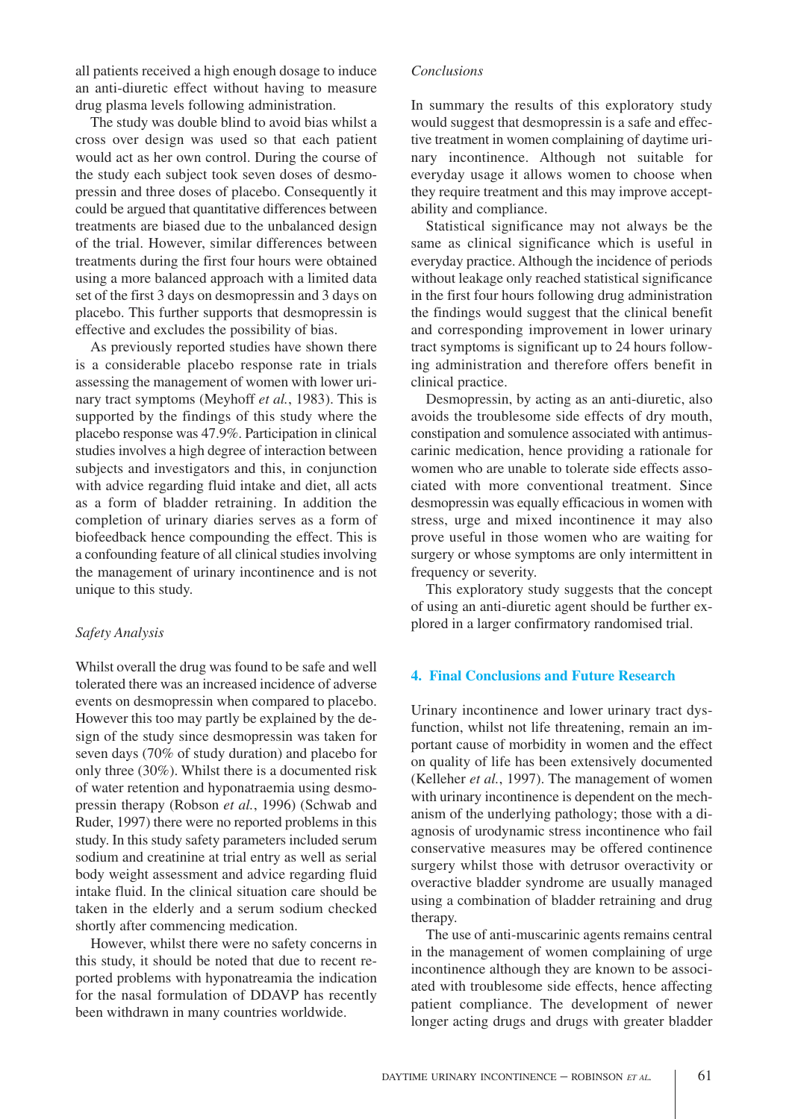all patients received a high enough dosage to induce an anti-diuretic effect without having to measure drug plasma levels following administration.

The study was double blind to avoid bias whilst a cross over design was used so that each patient would act as her own control. During the course of the study each subject took seven doses of desmopressin and three doses of placebo. Consequently it could be argued that quantitative differences between treatments are biased due to the unbalanced design of the trial. However, similar differences between treatments during the first four hours were obtained using a more balanced approach with a limited data set of the first 3 days on desmopressin and 3 days on placebo. This further supports that desmopressin is effective and excludes the possibility of bias.

As previously reported studies have shown there is a considerable placebo response rate in trials assessing the management of women with lower urinary tract symptoms (Meyhoff *et al.*, 1983). This is supported by the findings of this study where the placebo response was 47.9%. Participation in clinical studies involves a high degree of interaction between subjects and investigators and this, in conjunction with advice regarding fluid intake and diet, all acts as a form of bladder retraining. In addition the completion of urinary diaries serves as a form of biofeedback hence compounding the effect. This is a confounding feature of all clinical studies involving the management of urinary incontinence and is not unique to this study.

#### *Safety Analysis*

Whilst overall the drug was found to be safe and well tolerated there was an increased incidence of adverse events on desmopressin when compared to placebo. However this too may partly be explained by the design of the study since desmopressin was taken for seven days (70% of study duration) and placebo for only three (30%). Whilst there is a documented risk of water retention and hyponatraemia using desmopressin therapy (Robson *et al.*, 1996) (Schwab and Ruder, 1997) there were no reported problems in this study. In this study safety parameters included serum sodium and creatinine at trial entry as well as serial body weight assessment and advice regarding fluid intake fluid. In the clinical situation care should be taken in the elderly and a serum sodium checked shortly after commencing medication.

However, whilst there were no safety concerns in this study, it should be noted that due to recent reported problems with hyponatreamia the indication for the nasal formulation of DDAVP has recently been withdrawn in many countries worldwide.

#### *Conclusions*

In summary the results of this exploratory study would suggest that desmopressin is a safe and effective treatment in women complaining of daytime urinary incontinence. Although not suitable for everyday usage it allows women to choose when they require treatment and this may improve acceptability and compliance.

Statistical significance may not always be the same as clinical significance which is useful in everyday practice. Although the incidence of periods without leakage only reached statistical significance in the first four hours following drug administration the findings would suggest that the clinical benefit and corresponding improvement in lower urinary tract symptoms is significant up to 24 hours following administration and therefore offers benefit in clinical practice.

Desmopressin, by acting as an anti-diuretic, also avoids the troublesome side effects of dry mouth, constipation and somulence associated with antimuscarinic medication, hence providing a rationale for women who are unable to tolerate side effects associated with more conventional treatment. Since desmopressin was equally efficacious in women with stress, urge and mixed incontinence it may also prove useful in those women who are waiting for surgery or whose symptoms are only intermittent in frequency or severity.

This exploratory study suggests that the concept of using an anti-diuretic agent should be further explored in a larger confirmatory randomised trial.

#### **4. Final Conclusions and Future Research**

Urinary incontinence and lower urinary tract dysfunction, whilst not life threatening, remain an important cause of morbidity in women and the effect on quality of life has been extensively documented (Kelleher *et al.*, 1997). The management of women with urinary incontinence is dependent on the mechanism of the underlying pathology; those with a diagnosis of urodynamic stress incontinence who fail conservative measures may be offered continence surgery whilst those with detrusor overactivity or overactive bladder syndrome are usually managed using a combination of bladder retraining and drug therapy.

The use of anti-muscarinic agents remains central in the management of women complaining of urge incontinence although they are known to be associated with troublesome side effects, hence affecting patient compliance. The development of newer longer acting drugs and drugs with greater bladder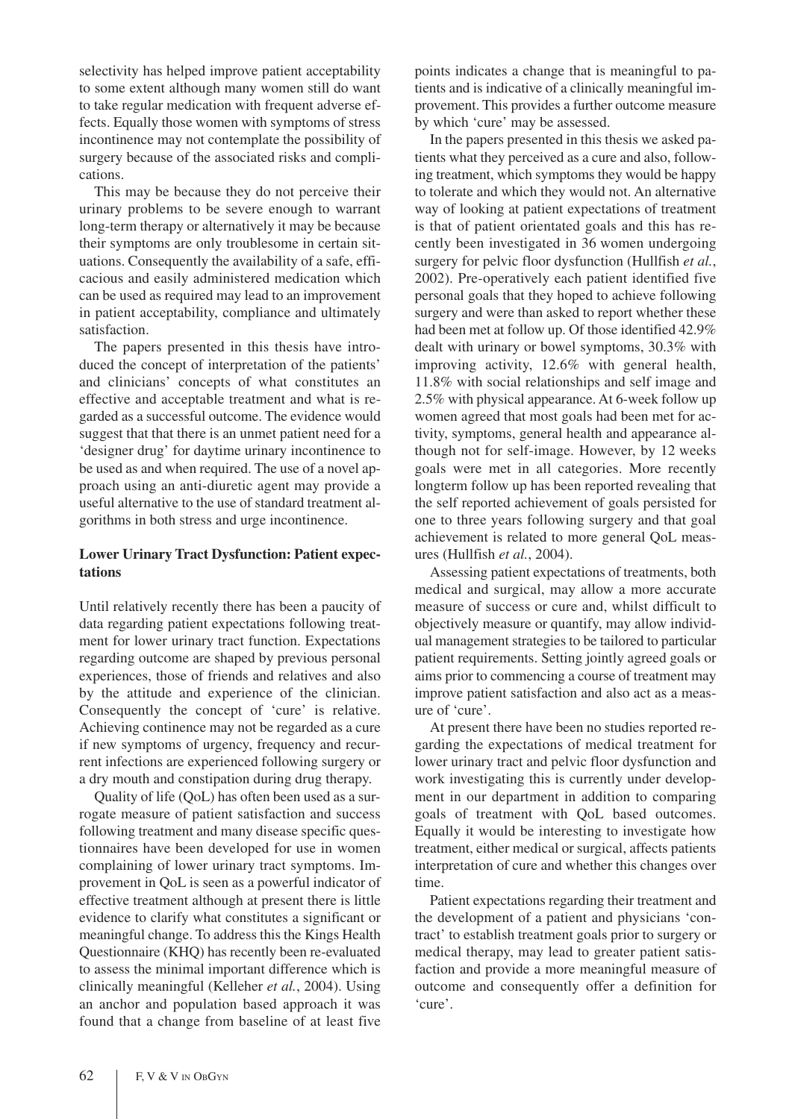selectivity has helped improve patient acceptability to some extent although many women still do want to take regular medication with frequent adverse effects. Equally those women with symptoms of stress incontinence may not contemplate the possibility of surgery because of the associated risks and complications.

This may be because they do not perceive their urinary problems to be severe enough to warrant long-term therapy or alternatively it may be because their symptoms are only troublesome in certain situations. Consequently the availability of a safe, efficacious and easily administered medication which can be used as required may lead to an improvement in patient acceptability, compliance and ultimately satisfaction.

The papers presented in this thesis have introduced the concept of interpretation of the patients' and clinicians' concepts of what constitutes an effective and acceptable treatment and what is regarded as a successful outcome. The evidence would suggest that that there is an unmet patient need for a 'designer drug' for daytime urinary incontinence to be used as and when required. The use of a novel approach using an anti-diuretic agent may provide a useful alternative to the use of standard treatment algorithms in both stress and urge incontinence.

# **Lower Urinary Tract Dysfunction: Patient expectations**

Until relatively recently there has been a paucity of data regarding patient expectations following treatment for lower urinary tract function. Expectations regarding outcome are shaped by previous personal experiences, those of friends and relatives and also by the attitude and experience of the clinician. Consequently the concept of 'cure' is relative. Achieving continence may not be regarded as a cure if new symptoms of urgency, frequency and recurrent infections are experienced following surgery or a dry mouth and constipation during drug therapy.

Quality of life (QoL) has often been used as a surrogate measure of patient satisfaction and success following treatment and many disease specific questionnaires have been developed for use in women complaining of lower urinary tract symptoms. Improvement in QoL is seen as a powerful indicator of effective treatment although at present there is little evidence to clarify what constitutes a significant or meaningful change. To address this the Kings Health Questionnaire (KHQ) has recently been re-evaluated to assess the minimal important difference which is clinically meaningful (Kelleher *et al.*, 2004). Using an anchor and population based approach it was found that a change from baseline of at least five

points indicates a change that is meaningful to patients and is indicative of a clinically meaningful improvement. This provides a further outcome measure by which 'cure' may be assessed.

In the papers presented in this thesis we asked patients what they perceived as a cure and also, following treatment, which symptoms they would be happy to tolerate and which they would not. An alternative way of looking at patient expectations of treatment is that of patient orientated goals and this has recently been investigated in 36 women undergoing surgery for pelvic floor dysfunction (Hullfish *et al.*, 2002). Pre-operatively each patient identified five personal goals that they hoped to achieve following surgery and were than asked to report whether these had been met at follow up. Of those identified 42.9% dealt with urinary or bowel symptoms, 30.3% with improving activity, 12.6% with general health, 11.8% with social relationships and self image and 2.5% with physical appearance. At 6-week follow up women agreed that most goals had been met for activity, symptoms, general health and appearance although not for self-image. However, by 12 weeks goals were met in all categories. More recently longterm follow up has been reported revealing that the self reported achievement of goals persisted for one to three years following surgery and that goal achievement is related to more general QoL measures (Hullfish *et al.*, 2004).

Assessing patient expectations of treatments, both medical and surgical, may allow a more accurate measure of success or cure and, whilst difficult to objectively measure or quantify, may allow individual management strategies to be tailored to particular patient requirements. Setting jointly agreed goals or aims prior to commencing a course of treatment may improve patient satisfaction and also act as a measure of 'cure'.

At present there have been no studies reported regarding the expectations of medical treatment for lower urinary tract and pelvic floor dysfunction and work investigating this is currently under development in our department in addition to comparing goals of treatment with QoL based outcomes. Equally it would be interesting to investigate how treatment, either medical or surgical, affects patients interpretation of cure and whether this changes over time.

Patient expectations regarding their treatment and the development of a patient and physicians 'contract' to establish treatment goals prior to surgery or medical therapy, may lead to greater patient satisfaction and provide a more meaningful measure of outcome and consequently offer a definition for 'cure'.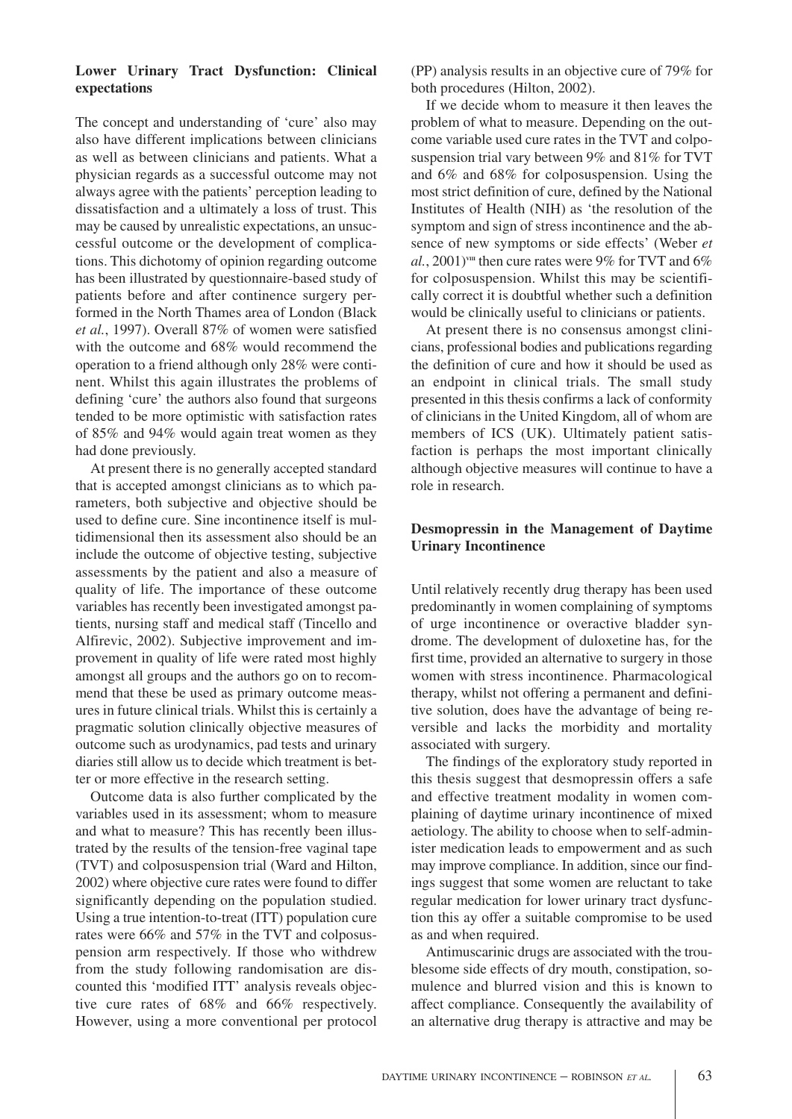### **Lower Urinary Tract Dysfunction: Clinical expectations**

The concept and understanding of 'cure' also may also have different implications between clinicians as well as between clinicians and patients. What a physician regards as a successful outcome may not always agree with the patients' perception leading to dissatisfaction and a ultimately a loss of trust. This may be caused by unrealistic expectations, an unsuccessful outcome or the development of complications. This dichotomy of opinion regarding outcome has been illustrated by questionnaire-based study of patients before and after continence surgery performed in the North Thames area of London (Black *et al.*, 1997). Overall 87% of women were satisfied with the outcome and 68% would recommend the operation to a friend although only 28% were continent. Whilst this again illustrates the problems of defining 'cure' the authors also found that surgeons tended to be more optimistic with satisfaction rates of 85% and 94% would again treat women as they had done previously.

At present there is no generally accepted standard that is accepted amongst clinicians as to which parameters, both subjective and objective should be used to define cure. Sine incontinence itself is multidimensional then its assessment also should be an include the outcome of objective testing, subjective assessments by the patient and also a measure of quality of life. The importance of these outcome variables has recently been investigated amongst patients, nursing staff and medical staff (Tincello and Alfirevic, 2002). Subjective improvement and improvement in quality of life were rated most highly amongst all groups and the authors go on to recommend that these be used as primary outcome measures in future clinical trials. Whilst this is certainly a pragmatic solution clinically objective measures of outcome such as urodynamics, pad tests and urinary diaries still allow us to decide which treatment is better or more effective in the research setting.

Outcome data is also further complicated by the variables used in its assessment; whom to measure and what to measure? This has recently been illustrated by the results of the tension-free vaginal tape (TVT) and colposuspension trial (Ward and Hilton, 2002) where objective cure rates were found to differ significantly depending on the population studied. Using a true intention-to-treat (ITT) population cure rates were 66% and 57% in the TVT and colposuspension arm respectively. If those who withdrew from the study following randomisation are discounted this 'modified ITT' analysis reveals objective cure rates of 68% and 66% respectively. However, using a more conventional per protocol

(PP) analysis results in an objective cure of 79% for both procedures (Hilton, 2002).

If we decide whom to measure it then leaves the problem of what to measure. Depending on the outcome variable used cure rates in the TVT and colposuspension trial vary between 9% and 81% for TVT and 6% and 68% for colposuspension. Using the most strict definition of cure, defined by the National Institutes of Health (NIH) as 'the resolution of the symptom and sign of stress incontinence and the absence of new symptoms or side effects' (Weber *et*  $al., 2001$ <sup>ym</sup> then cure rates were 9% for TVT and 6% for colposuspension. Whilst this may be scientifically correct it is doubtful whether such a definition would be clinically useful to clinicians or patients.

At present there is no consensus amongst clinicians, professional bodies and publications regarding the definition of cure and how it should be used as an endpoint in clinical trials. The small study presented in this thesis confirms a lack of conformity of clinicians in the United Kingdom, all of whom are members of ICS (UK). Ultimately patient satisfaction is perhaps the most important clinically although objective measures will continue to have a role in research.

### **Desmopressin in the Management of Daytime Urinary Incontinence**

Until relatively recently drug therapy has been used predominantly in women complaining of symptoms of urge incontinence or overactive bladder syndrome. The development of duloxetine has, for the first time, provided an alternative to surgery in those women with stress incontinence. Pharmacological therapy, whilst not offering a permanent and definitive solution, does have the advantage of being reversible and lacks the morbidity and mortality associated with surgery.

The findings of the exploratory study reported in this thesis suggest that desmopressin offers a safe and effective treatment modality in women complaining of daytime urinary incontinence of mixed aetiology. The ability to choose when to self-administer medication leads to empowerment and as such may improve compliance. In addition, since our findings suggest that some women are reluctant to take regular medication for lower urinary tract dysfunction this ay offer a suitable compromise to be used as and when required.

Antimuscarinic drugs are associated with the troublesome side effects of dry mouth, constipation, somulence and blurred vision and this is known to affect compliance. Consequently the availability of an alternative drug therapy is attractive and may be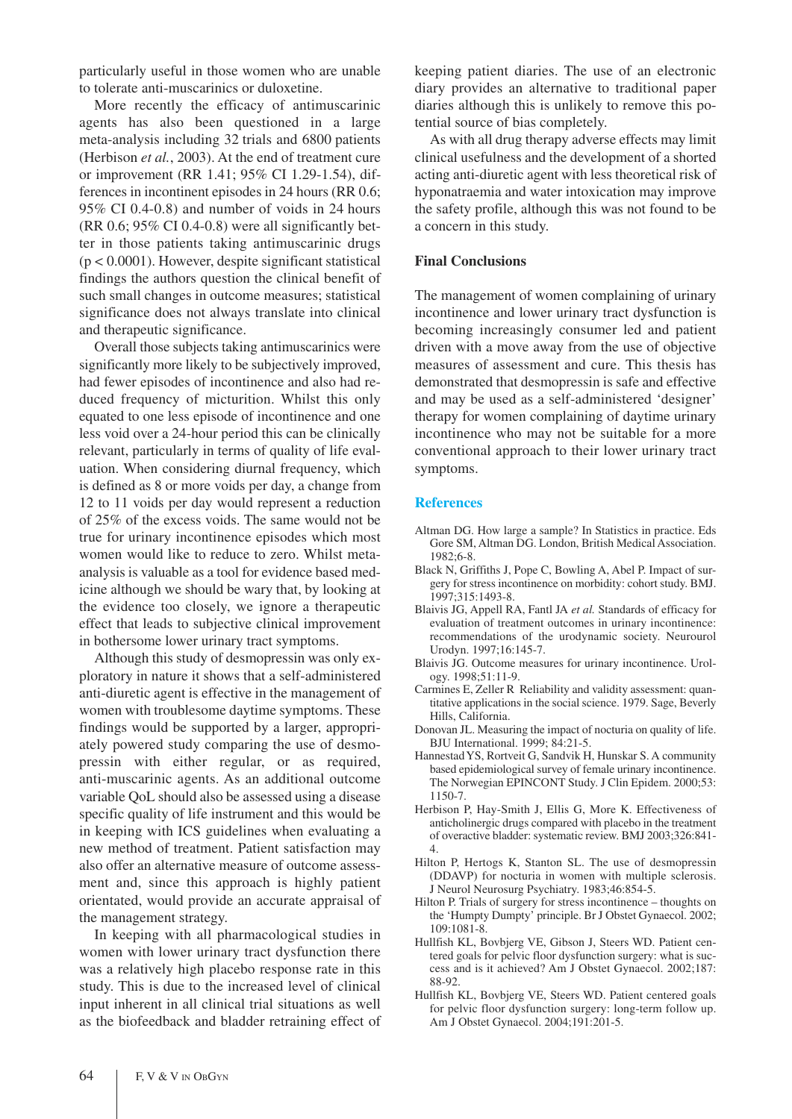particularly useful in those women who are unable to tolerate anti-muscarinics or duloxetine.

More recently the efficacy of antimuscarinic agents has also been questioned in a large meta-analysis including 32 trials and 6800 patients (Herbison *et al.*, 2003). At the end of treatment cure or improvement (RR 1.41; 95% CI 1.29-1.54), differences in incontinent episodes in 24 hours (RR 0.6; 95% CI 0.4-0.8) and number of voids in 24 hours  $(RR 0.6; 95\% \text{ CI } 0.4-0.8)$  were all significantly better in those patients taking antimuscarinic drugs  $(p < 0.0001)$ . However, despite significant statistical findings the authors question the clinical benefit of such small changes in outcome measures; statistical significance does not always translate into clinical and therapeutic significance.

Overall those subjects taking antimuscarinics were significantly more likely to be subjectively improved, had fewer episodes of incontinence and also had reduced frequency of micturition. Whilst this only equated to one less episode of incontinence and one less void over a 24-hour period this can be clinically relevant, particularly in terms of quality of life evaluation. When considering diurnal frequency, which is defined as 8 or more voids per day, a change from 12 to 11 voids per day would represent a reduction of 25% of the excess voids. The same would not be true for urinary incontinence episodes which most women would like to reduce to zero. Whilst metaanalysis is valuable as a tool for evidence based medicine although we should be wary that, by looking at the evidence too closely, we ignore a therapeutic effect that leads to subjective clinical improvement in bothersome lower urinary tract symptoms.

Although this study of desmopressin was only exploratory in nature it shows that a self-administered anti-diuretic agent is effective in the management of women with troublesome daytime symptoms. These findings would be supported by a larger, appropriately powered study comparing the use of desmopressin with either regular, or as required, anti-muscarinic agents. As an additional outcome variable QoL should also be assessed using a disease specific quality of life instrument and this would be in keeping with ICS guidelines when evaluating a new method of treatment. Patient satisfaction may also offer an alternative measure of outcome assessment and, since this approach is highly patient orientated, would provide an accurate appraisal of the management strategy.

In keeping with all pharmacological studies in women with lower urinary tract dysfunction there was a relatively high placebo response rate in this study. This is due to the increased level of clinical input inherent in all clinical trial situations as well as the biofeedback and bladder retraining effect of keeping patient diaries. The use of an electronic diary provides an alternative to traditional paper diaries although this is unlikely to remove this potential source of bias completely.

As with all drug therapy adverse effects may limit clinical usefulness and the development of a shorted acting anti-diuretic agent with less theoretical risk of hyponatraemia and water intoxication may improve the safety profile, although this was not found to be a concern in this study.

#### **Final Conclusions**

The management of women complaining of urinary incontinence and lower urinary tract dysfunction is becoming increasingly consumer led and patient driven with a move away from the use of objective measures of assessment and cure. This thesis has demonstrated that desmopressin is safe and effective and may be used as a self-administered 'designer' therapy for women complaining of daytime urinary incontinence who may not be suitable for a more conventional approach to their lower urinary tract symptoms.

#### **References**

- Altman DG. How large a sample? In Statistics in practice. Eds Gore SM, Altman DG. London, British Medical Association. 1982;6-8.
- Black N, Griffiths J, Pope C, Bowling A, Abel P. Impact of surgery for stress incontinence on morbidity: cohort study. BMJ. 1997;315:1493-8.
- Blaivis JG, Appell RA, Fantl JA *et al.* Standards of efficacy for evaluation of treatment outcomes in urinary incontinence: recommendations of the urodynamic society. Neurourol Urodyn. 1997;16:145-7.
- Blaivis JG. Outcome measures for urinary incontinence. Urology. 1998;51:11-9.
- Carmines E, Zeller R Reliability and validity assessment: quantitative applications in the social science. 1979. Sage, Beverly Hills, California.
- Donovan JL. Measuring the impact of nocturia on quality of life. BJU International. 1999; 84:21-5.
- HannestadYS, Rortveit G, Sandvik H, Hunskar S. A community based epidemiological survey of female urinary incontinence. The Norwegian EPINCONT Study. J Clin Epidem. 2000;53: 1150-7.
- Herbison P, Hay-Smith J, Ellis G, More K. Effectiveness of anticholinergic drugs compared with placebo in the treatment of overactive bladder: systematic review. BMJ 2003;326:841- 4.
- Hilton P, Hertogs K, Stanton SL. The use of desmopressin (DDAVP) for nocturia in women with multiple sclerosis. J Neurol Neurosurg Psychiatry. 1983;46:854-5.
- Hilton P. Trials of surgery for stress incontinence thoughts on the 'Humpty Dumpty' principle. Br J Obstet Gynaecol. 2002; 109:1081-8.
- Hullfish KL, Bovbjerg VE, Gibson J, Steers WD. Patient centered goals for pelvic floor dysfunction surgery: what is success and is it achieved? Am J Obstet Gynaecol. 2002;187: 88-92.
- Hullfish KL, Bovbjerg VE, Steers WD. Patient centered goals for pelvic floor dysfunction surgery: long-term follow up. Am J Obstet Gynaecol. 2004;191:201-5.